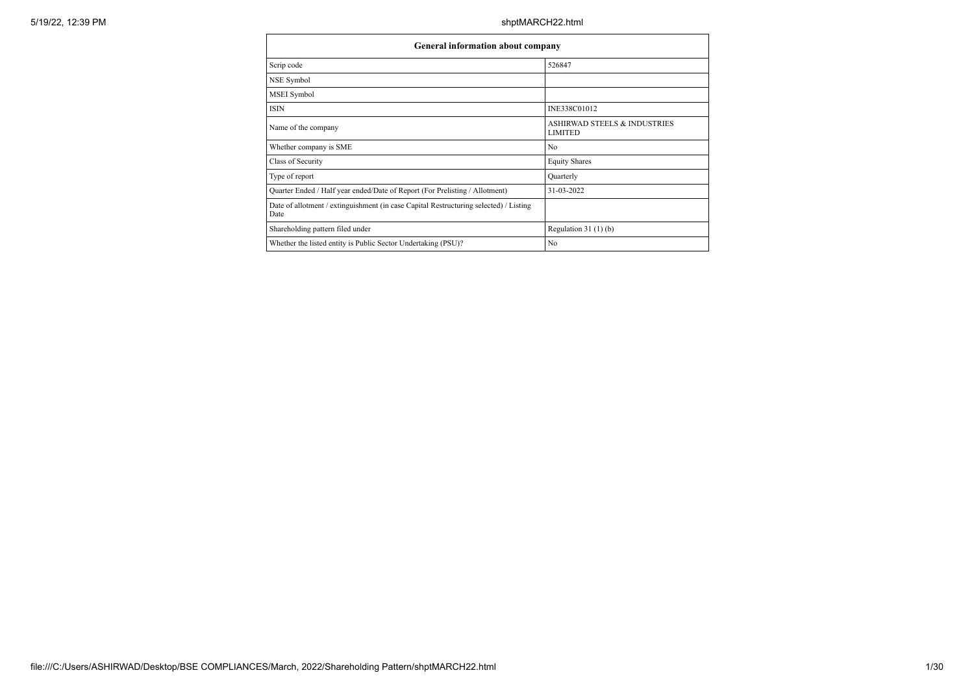| General information about company                                                             |                                                           |
|-----------------------------------------------------------------------------------------------|-----------------------------------------------------------|
| Scrip code                                                                                    | 526847                                                    |
| NSE Symbol                                                                                    |                                                           |
| MSEI Symbol                                                                                   |                                                           |
| <b>ISIN</b>                                                                                   | INE338C01012                                              |
| Name of the company                                                                           | <b>ASHIRWAD STEELS &amp; INDUSTRIES</b><br><b>LIMITED</b> |
| Whether company is SME                                                                        | No                                                        |
| Class of Security                                                                             | <b>Equity Shares</b>                                      |
| Type of report                                                                                | Quarterly                                                 |
| Quarter Ended / Half year ended/Date of Report (For Prelisting / Allotment)                   | 31-03-2022                                                |
| Date of allotment / extinguishment (in case Capital Restructuring selected) / Listing<br>Date |                                                           |
| Shareholding pattern filed under                                                              | Regulation $31(1)(b)$                                     |
| Whether the listed entity is Public Sector Undertaking (PSU)?                                 | No                                                        |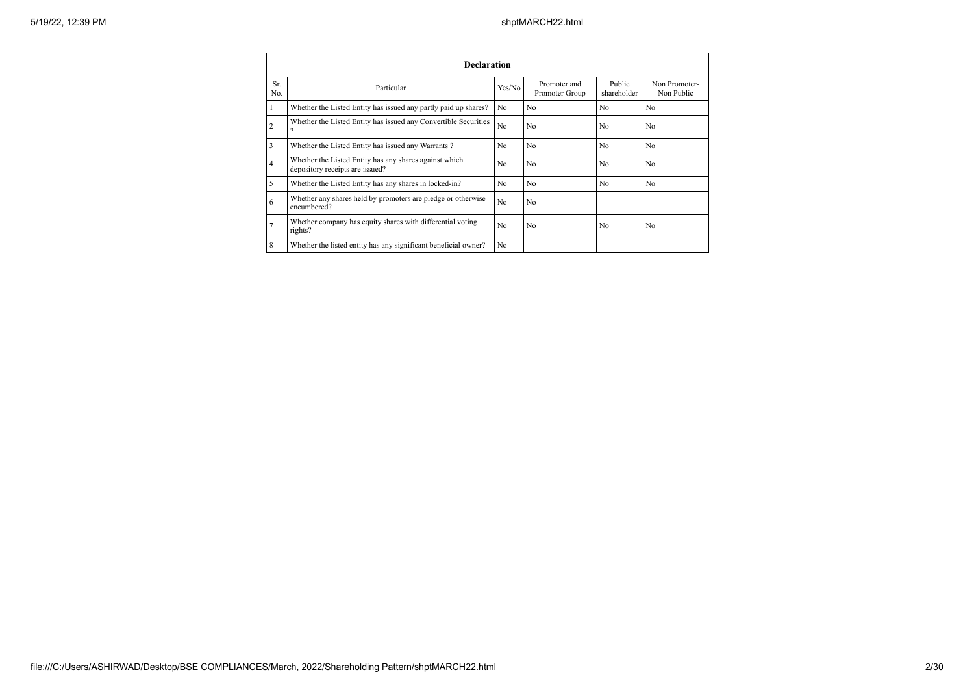|                | <b>Declaration</b>                                                                        |                |                                |                       |                             |  |  |  |  |  |  |  |
|----------------|-------------------------------------------------------------------------------------------|----------------|--------------------------------|-----------------------|-----------------------------|--|--|--|--|--|--|--|
| Sr.<br>No.     | Particular                                                                                | Yes/No         | Promoter and<br>Promoter Group | Public<br>shareholder | Non Promoter-<br>Non Public |  |  |  |  |  |  |  |
| 1              | Whether the Listed Entity has issued any partly paid up shares?                           | No             | N <sub>0</sub>                 | N <sub>0</sub>        | No                          |  |  |  |  |  |  |  |
| $\overline{2}$ | Whether the Listed Entity has issued any Convertible Securities<br>$\Omega$               | No             | N <sub>o</sub>                 | N <sub>0</sub>        | No                          |  |  |  |  |  |  |  |
| 3              | Whether the Listed Entity has issued any Warrants?                                        | No             | N <sub>o</sub>                 | N <sub>o</sub>        | No                          |  |  |  |  |  |  |  |
| $\overline{4}$ | Whether the Listed Entity has any shares against which<br>depository receipts are issued? | N <sub>0</sub> | N <sub>0</sub>                 | N <sub>0</sub>        | N <sub>0</sub>              |  |  |  |  |  |  |  |
| 5              | Whether the Listed Entity has any shares in locked-in?                                    | No             | N <sub>o</sub>                 | N <sub>o</sub>        | No                          |  |  |  |  |  |  |  |
| 6              | Whether any shares held by promoters are pledge or otherwise<br>encumbered?               | No.            | N <sub>o</sub>                 |                       |                             |  |  |  |  |  |  |  |
| $\overline{7}$ | Whether company has equity shares with differential voting<br>rights?                     | No             | N <sub>o</sub>                 | No                    | N <sub>o</sub>              |  |  |  |  |  |  |  |
| 8              | Whether the listed entity has any significant beneficial owner?                           | No.            |                                |                       |                             |  |  |  |  |  |  |  |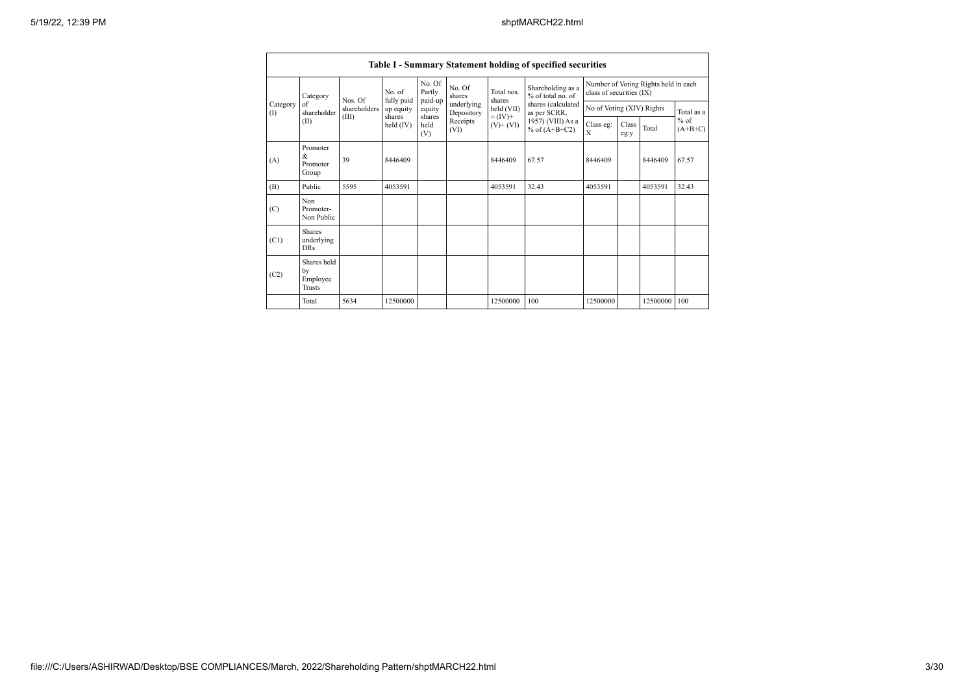|                   |                                                |              |                       |                             |                          |                                            | Table I - Summary Statement holding of specified securities                |                           |               |                                                                  |                                   |  |
|-------------------|------------------------------------------------|--------------|-----------------------|-----------------------------|--------------------------|--------------------------------------------|----------------------------------------------------------------------------|---------------------------|---------------|------------------------------------------------------------------|-----------------------------------|--|
|                   | Category                                       | Nos. Of      | No. of<br>fully paid  | No. Of<br>Partly<br>paid-up | No. Of<br>shares         | Total nos.<br>shares                       | Shareholding as a<br>% of total no. of                                     |                           |               | Number of Voting Rights held in each<br>class of securities (IX) |                                   |  |
| Category<br>$($ I | of<br>shareholder                              | shareholders | up equity             | equity                      | underlying<br>Depository | held (VII)<br>$= (IV) +$<br>$(V)$ + $(VI)$ | shares (calculated<br>as per SCRR,<br>1957) (VIII) As a<br>% of $(A+B+C2)$ | No of Voting (XIV) Rights |               |                                                                  | Total as a<br>$%$ of<br>$(A+B+C)$ |  |
|                   | (II)                                           | (III)        | shares<br>held $(IV)$ | shares<br>held<br>(V)       | Receipts<br>(VI)         |                                            |                                                                            | Class eg:<br>X            | Class<br>eg:y | Total                                                            |                                   |  |
| (A)               | Promoter<br>&<br>Promoter<br>Group             | 39           | 8446409               |                             |                          | 8446409                                    | 67.57                                                                      | 8446409                   |               | 8446409                                                          | 67.57                             |  |
| (B)               | Public                                         | 5595         | 4053591               |                             |                          | 4053591                                    | 32.43                                                                      | 4053591                   |               | 4053591                                                          | 32.43                             |  |
| (C)               | Non<br>Promoter-<br>Non Public                 |              |                       |                             |                          |                                            |                                                                            |                           |               |                                                                  |                                   |  |
| (C1)              | <b>Shares</b><br>underlying<br>DR <sub>s</sub> |              |                       |                             |                          |                                            |                                                                            |                           |               |                                                                  |                                   |  |
| (C2)              | Shares held<br>by<br>Employee<br><b>Trusts</b> |              |                       |                             |                          |                                            |                                                                            |                           |               |                                                                  |                                   |  |
|                   | Total                                          | 5634         | 12500000              |                             |                          | 12500000                                   | 100                                                                        | 12500000                  |               | 12500000 100                                                     |                                   |  |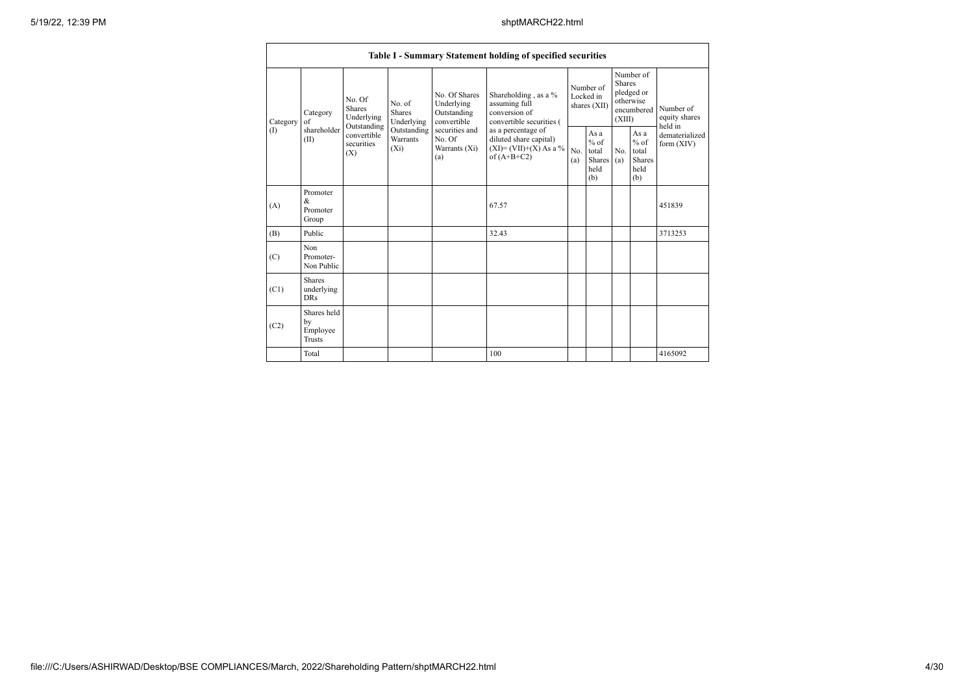|          |                                                |                                                      |                                       |                                                  | Table I - Summary Statement holding of specified securities                              |                                                                                    |                                                  |                                        |                                                                               |                                |                                       |
|----------|------------------------------------------------|------------------------------------------------------|---------------------------------------|--------------------------------------------------|------------------------------------------------------------------------------------------|------------------------------------------------------------------------------------|--------------------------------------------------|----------------------------------------|-------------------------------------------------------------------------------|--------------------------------|---------------------------------------|
| Category | Category<br>of<br>shareholder                  | No. Of<br><b>Shares</b><br>Underlying<br>Outstanding | No. of<br><b>Shares</b><br>Underlying |                                                  | No. Of Shares<br>Underlying<br>Outstanding<br>convertible                                | Shareholding, as a %<br>assuming full<br>conversion of<br>convertible securities ( |                                                  | Number of<br>Locked in<br>shares (XII) | Number of<br><b>Shares</b><br>pledged or<br>otherwise<br>encumbered<br>(XIII) |                                | Number of<br>equity shares<br>held in |
| (I)      | (II)                                           | convertible<br>securities<br>(X)                     | Outstanding<br>Warrants<br>$(X_i)$    | securities and<br>No. Of<br>Warrants (Xi)<br>(a) | as a percentage of<br>diluted share capital)<br>$(XI)=(VII)+(X) As a %$<br>of $(A+B+C2)$ | No.<br>(a)                                                                         | As a<br>$%$ of<br>total<br>Shares<br>held<br>(b) | No.<br>(a)                             | As a<br>$%$ of<br>total<br>Shares<br>held<br>(b)                              | dematerialized<br>form $(XIV)$ |                                       |
| (A)      | Promoter<br>&<br>Promoter<br>Group             |                                                      |                                       |                                                  | 67.57                                                                                    |                                                                                    |                                                  |                                        |                                                                               | 451839                         |                                       |
| (B)      | Public                                         |                                                      |                                       |                                                  | 32.43                                                                                    |                                                                                    |                                                  |                                        |                                                                               | 3713253                        |                                       |
| (C)      | Non<br>Promoter-<br>Non Public                 |                                                      |                                       |                                                  |                                                                                          |                                                                                    |                                                  |                                        |                                                                               |                                |                                       |
| (C1)     | <b>Shares</b><br>underlying<br><b>DRs</b>      |                                                      |                                       |                                                  |                                                                                          |                                                                                    |                                                  |                                        |                                                                               |                                |                                       |
| (C2)     | Shares held<br>by<br>Employee<br><b>Trusts</b> |                                                      |                                       |                                                  |                                                                                          |                                                                                    |                                                  |                                        |                                                                               |                                |                                       |
|          | Total                                          |                                                      |                                       |                                                  | 100                                                                                      |                                                                                    |                                                  |                                        |                                                                               | 4165092                        |                                       |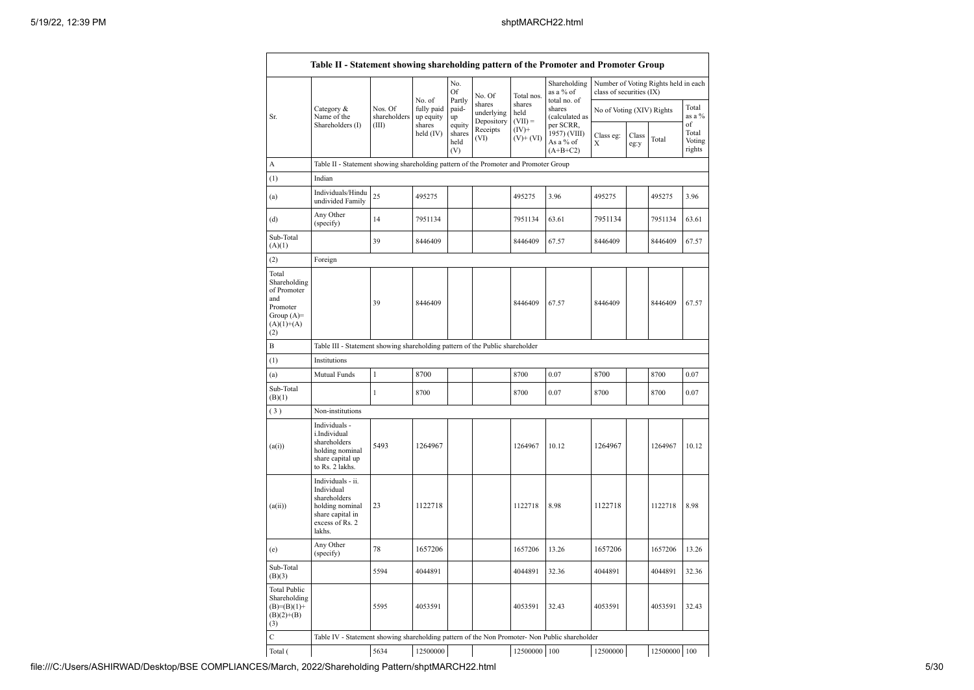|                                                                                                |                                                                                                                     |                         | No. of                  | No.<br>Of<br>Partly             | No. Of                             | Total nos.                  | Shareholding<br>as a % of<br>total no. of | class of securities (IX)  |               | Number of Voting Rights held in each |                           |
|------------------------------------------------------------------------------------------------|---------------------------------------------------------------------------------------------------------------------|-------------------------|-------------------------|---------------------------------|------------------------------------|-----------------------------|-------------------------------------------|---------------------------|---------------|--------------------------------------|---------------------------|
| Sr.                                                                                            | Category &<br>Name of the                                                                                           | Nos. Of<br>shareholders | fully paid<br>up equity | paid-<br>up                     | shares<br>underlying<br>Depository | shares<br>held<br>$(VII) =$ | shares<br>(calculated as<br>per SCRR,     | No of Voting (XIV) Rights |               |                                      | Total<br>as a %<br>of     |
|                                                                                                | Shareholders (I)                                                                                                    | (III)                   | shares<br>held $(IV)$   | equity<br>shares<br>held<br>(V) | Receipts<br>(VI)                   | $(IV)+$<br>$(V)+(VI)$       | 1957) (VIII)<br>As a % of<br>$(A+B+C2)$   | Class eg:<br>X            | Class<br>eg:y | Total                                | Total<br>Voting<br>rights |
| А                                                                                              | Table II - Statement showing shareholding pattern of the Promoter and Promoter Group                                |                         |                         |                                 |                                    |                             |                                           |                           |               |                                      |                           |
| (1)                                                                                            | Indian                                                                                                              |                         |                         |                                 |                                    |                             |                                           |                           |               |                                      |                           |
| (a)                                                                                            | Individuals/Hindu<br>undivided Family                                                                               | 25                      | 495275                  |                                 |                                    | 495275                      | 3.96                                      | 495275                    |               | 495275                               | 3.96                      |
| (d)                                                                                            | Any Other<br>(specify)                                                                                              | 14                      | 7951134                 |                                 |                                    | 7951134                     | 63.61                                     | 7951134                   |               | 7951134                              | 63.61                     |
| Sub-Total<br>(A)(1)                                                                            |                                                                                                                     | 39                      | 8446409                 |                                 |                                    | 8446409                     | 67.57                                     | 8446409                   |               | 8446409                              | 67.57                     |
| (2)                                                                                            | Foreign                                                                                                             |                         |                         |                                 |                                    |                             |                                           |                           |               |                                      |                           |
| Total<br>Shareholding<br>of Promoter<br>and<br>Promoter<br>Group $(A)=$<br>$(A)(1)+(A)$<br>(2) |                                                                                                                     | 39                      | 8446409                 |                                 |                                    | 8446409                     | 67.57                                     | 8446409                   |               | 8446409                              | 67.57                     |
| B                                                                                              | Table III - Statement showing shareholding pattern of the Public shareholder                                        |                         |                         |                                 |                                    |                             |                                           |                           |               |                                      |                           |
| (1)                                                                                            | Institutions                                                                                                        |                         |                         |                                 |                                    |                             |                                           |                           |               |                                      |                           |
| (a)                                                                                            | Mutual Funds                                                                                                        | 1                       | 8700                    |                                 |                                    | 8700                        | 0.07                                      | 8700                      |               | 8700                                 | 0.07                      |
| Sub-Total<br>(B)(1)                                                                            |                                                                                                                     | $\mathbf{1}$            | 8700                    |                                 |                                    | 8700                        | 0.07                                      | 8700                      |               | 8700                                 | 0.07                      |
| (3)                                                                                            | Non-institutions                                                                                                    |                         |                         |                                 |                                    |                             |                                           |                           |               |                                      |                           |
| (a(i))                                                                                         | Individuals -<br>i.Individual<br>shareholders<br>holding nominal<br>share capital up<br>to Rs. 2 lakhs.             | 5493                    | 1264967                 |                                 |                                    | 1264967                     | 10.12                                     | 1264967                   |               | 1264967                              | 10.12                     |
| (a(ii))                                                                                        | Individuals - ii.<br>Individual<br>shareholders<br>holding nominal<br>share capital in<br>excess of Rs. 2<br>lakhs. | 23                      | 1122718                 |                                 |                                    | 1122718                     | 8.98                                      | 1122718                   |               | 1122718                              | 8.98                      |
| (e)                                                                                            | Any Other<br>(specify)                                                                                              | 78                      | 1657206                 |                                 |                                    | 1657206                     | 13.26                                     | 1657206                   |               | 1657206                              | 13.26                     |
| Sub-Total<br>(B)(3)                                                                            |                                                                                                                     | 5594                    | 4044891                 |                                 |                                    | 4044891                     | 32.36                                     | 4044891                   |               | 4044891                              | 32.36                     |
| <b>Total Public</b><br>Shareholding<br>$(B)=(B)(1)+$<br>$(B)(2)+(B)$<br>(3)                    |                                                                                                                     | 5595                    | 4053591                 |                                 |                                    | 4053591                     | 32.43                                     | 4053591                   |               | 4053591                              | 32.43                     |
| Ċ                                                                                              | Table IV - Statement showing shareholding pattern of the Non Promoter- Non Public shareholder                       |                         |                         |                                 |                                    |                             |                                           |                           |               |                                      |                           |
| Total (                                                                                        |                                                                                                                     | 5634                    | 12500000                |                                 |                                    | 12500000 100                |                                           | 12500000                  |               | 12500000 100                         |                           |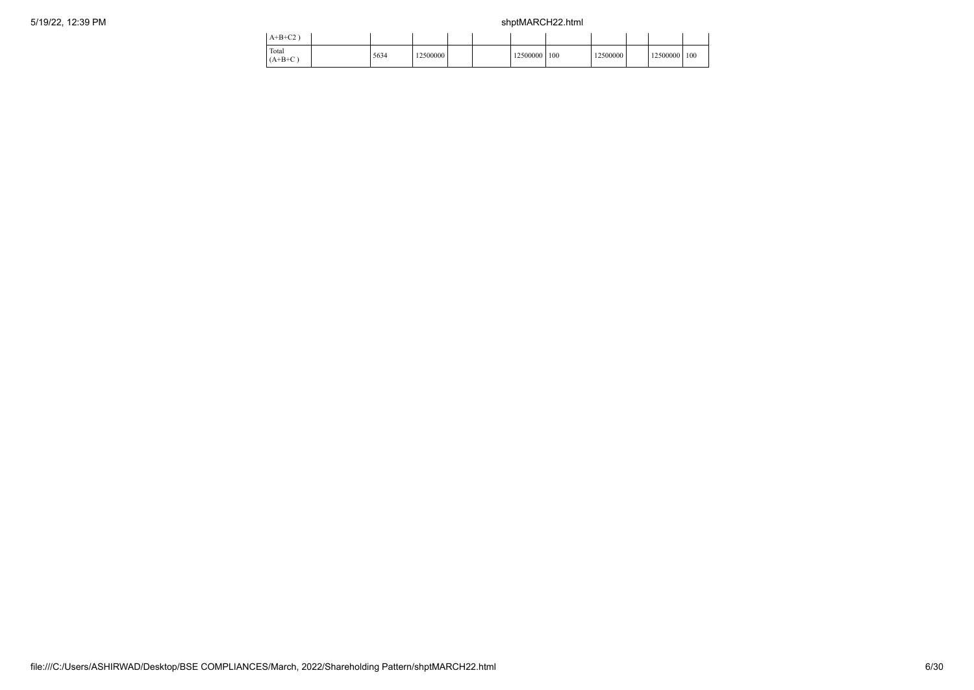| $A+B+C2$           |      |          |  |          |     |          |          |     |  |
|--------------------|------|----------|--|----------|-----|----------|----------|-----|--|
| Total<br>$(A+B+C)$ | 5634 | 12500000 |  | 12500000 | 100 | 12500000 | 12500000 | 100 |  |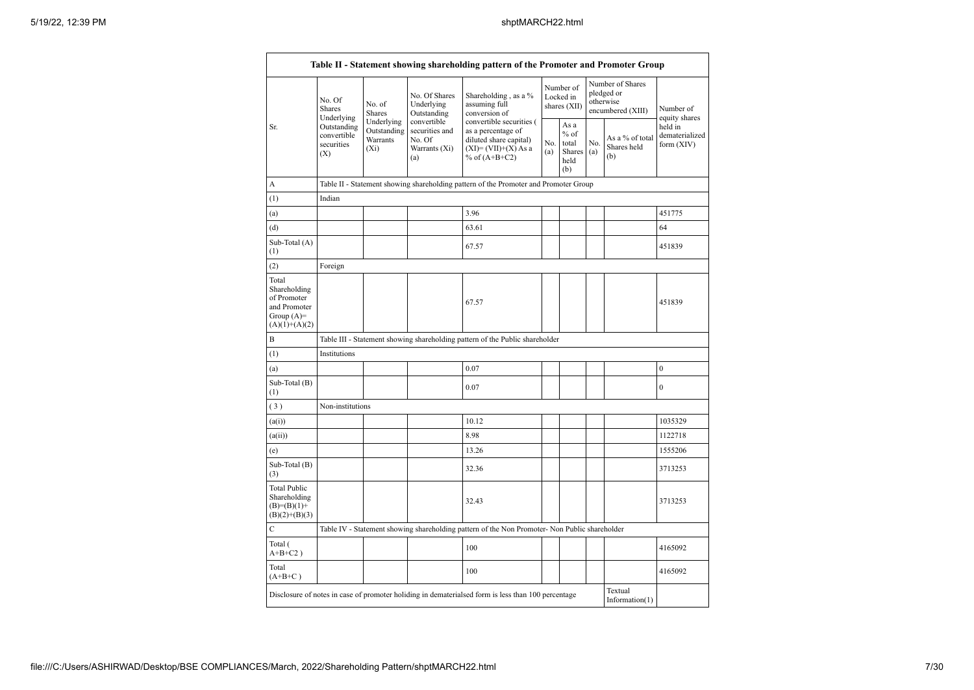|                                                                                         | No. Of<br>Shares                                              | No. of<br><b>Shares</b>                          | No. Of Shares<br>Underlying<br>Outstanding                      | Shareholding, as a %<br>assuming full<br>conversion of                                                               |            | Number of<br>Locked in<br>shares (XII)                 |     | Number of Shares<br>pledged or<br>otherwise<br>encumbered (XIII) | Number of<br>equity shares<br>held in<br>dematerialized<br>form (XIV) |  |
|-----------------------------------------------------------------------------------------|---------------------------------------------------------------|--------------------------------------------------|-----------------------------------------------------------------|----------------------------------------------------------------------------------------------------------------------|------------|--------------------------------------------------------|-----|------------------------------------------------------------------|-----------------------------------------------------------------------|--|
| Sr.                                                                                     | Underlying<br>Outstanding<br>convertible<br>securities<br>(X) | Underlying<br>Outstanding<br>Warrants<br>$(X_i)$ | convertible<br>securities and<br>No. Of<br>Warrants (Xi)<br>(a) | convertible securities (<br>as a percentage of<br>diluted share capital)<br>$(XI)=(VII)+(X) As a$<br>% of $(A+B+C2)$ | No.<br>(a) | As a<br>$%$ of<br>total<br>Shares $(a)$<br>held<br>(b) | No. | As a % of total<br>Shares held<br>(b)                            |                                                                       |  |
| A                                                                                       |                                                               |                                                  |                                                                 | Table II - Statement showing shareholding pattern of the Promoter and Promoter Group                                 |            |                                                        |     |                                                                  |                                                                       |  |
| (1)                                                                                     | Indian                                                        |                                                  |                                                                 |                                                                                                                      |            |                                                        |     |                                                                  |                                                                       |  |
| (a)                                                                                     |                                                               |                                                  |                                                                 | 3.96                                                                                                                 |            |                                                        |     |                                                                  | 451775                                                                |  |
| (d)                                                                                     |                                                               |                                                  |                                                                 | 63.61                                                                                                                |            |                                                        |     |                                                                  | 64                                                                    |  |
| Sub-Total (A)<br>(1)                                                                    |                                                               |                                                  |                                                                 | 67.57                                                                                                                |            |                                                        |     |                                                                  | 451839                                                                |  |
| (2)                                                                                     | Foreign                                                       |                                                  |                                                                 |                                                                                                                      |            |                                                        |     |                                                                  |                                                                       |  |
| Total<br>Shareholding<br>of Promoter<br>and Promoter<br>Group $(A)=$<br>$(A)(1)+(A)(2)$ |                                                               |                                                  |                                                                 | 67.57                                                                                                                |            |                                                        |     |                                                                  | 451839                                                                |  |
| B                                                                                       |                                                               |                                                  |                                                                 | Table III - Statement showing shareholding pattern of the Public shareholder                                         |            |                                                        |     |                                                                  |                                                                       |  |
| (1)                                                                                     | Institutions                                                  |                                                  |                                                                 |                                                                                                                      |            |                                                        |     |                                                                  |                                                                       |  |
| (a)                                                                                     |                                                               |                                                  |                                                                 | 0.07                                                                                                                 |            |                                                        |     |                                                                  | $\boldsymbol{0}$                                                      |  |
| Sub-Total (B)<br>(1)                                                                    |                                                               |                                                  |                                                                 | 0.07                                                                                                                 |            |                                                        |     |                                                                  | $\overline{0}$                                                        |  |
| (3)                                                                                     | Non-institutions                                              |                                                  |                                                                 |                                                                                                                      |            |                                                        |     |                                                                  |                                                                       |  |
| (a(i))                                                                                  |                                                               |                                                  |                                                                 | 10.12                                                                                                                |            |                                                        |     |                                                                  | 1035329                                                               |  |
| (a(ii))                                                                                 |                                                               |                                                  |                                                                 | 8.98                                                                                                                 |            |                                                        |     |                                                                  | 1122718                                                               |  |
| (e)                                                                                     |                                                               |                                                  |                                                                 | 13.26                                                                                                                |            |                                                        |     |                                                                  | 1555206                                                               |  |
| Sub-Total (B)<br>(3)                                                                    |                                                               |                                                  |                                                                 | 32.36                                                                                                                |            |                                                        |     |                                                                  | 3713253                                                               |  |
| <b>Total Public</b><br>Shareholding<br>$(B)=(B)(1)+$<br>$(B)(2)+(B)(3)$                 |                                                               |                                                  |                                                                 | 32.43                                                                                                                |            |                                                        |     |                                                                  | 3713253                                                               |  |
| $\mathbf C$                                                                             |                                                               |                                                  |                                                                 | Table IV - Statement showing shareholding pattern of the Non Promoter- Non Public shareholder                        |            |                                                        |     |                                                                  |                                                                       |  |
| Total (<br>$\mathrm{A} \text{+} \mathrm{B} \text{+} \mathrm{C2}$ )                      |                                                               |                                                  |                                                                 | 100                                                                                                                  |            |                                                        |     |                                                                  | 4165092                                                               |  |
| Total<br>$(A+B+C)$                                                                      |                                                               |                                                  |                                                                 | 100                                                                                                                  |            |                                                        |     |                                                                  | 4165092                                                               |  |
|                                                                                         |                                                               |                                                  |                                                                 | Disclosure of notes in case of promoter holiding in dematerialsed form is less than 100 percentage                   |            |                                                        |     | Textual<br>Information $(1)$                                     |                                                                       |  |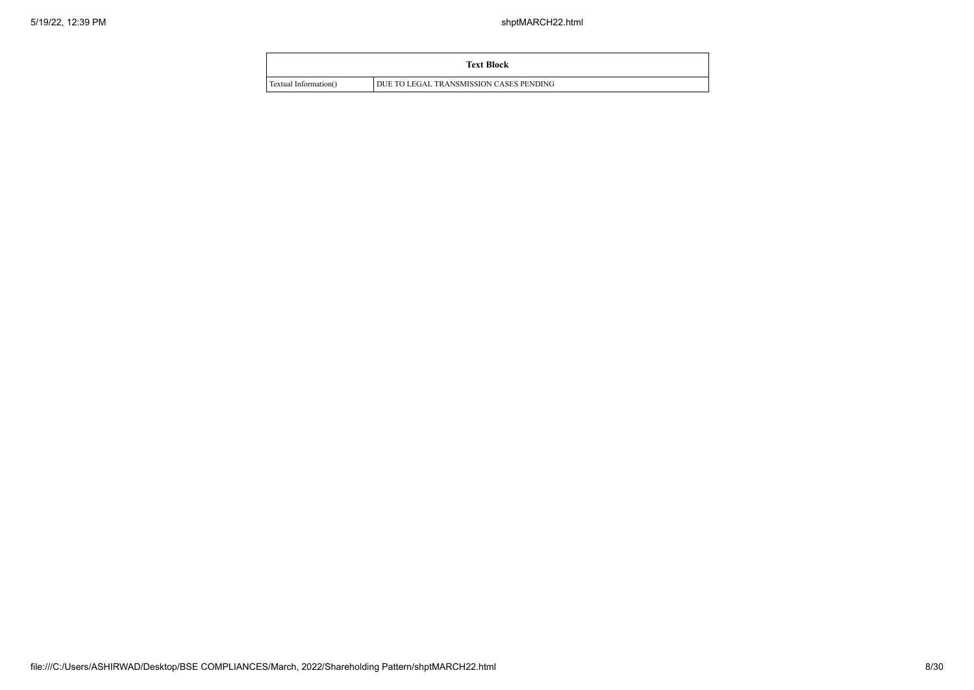|                       | <b>Text Block</b>                       |  |
|-----------------------|-----------------------------------------|--|
| Textual Information() | DUE TO LEGAL TRANSMISSION CASES PENDING |  |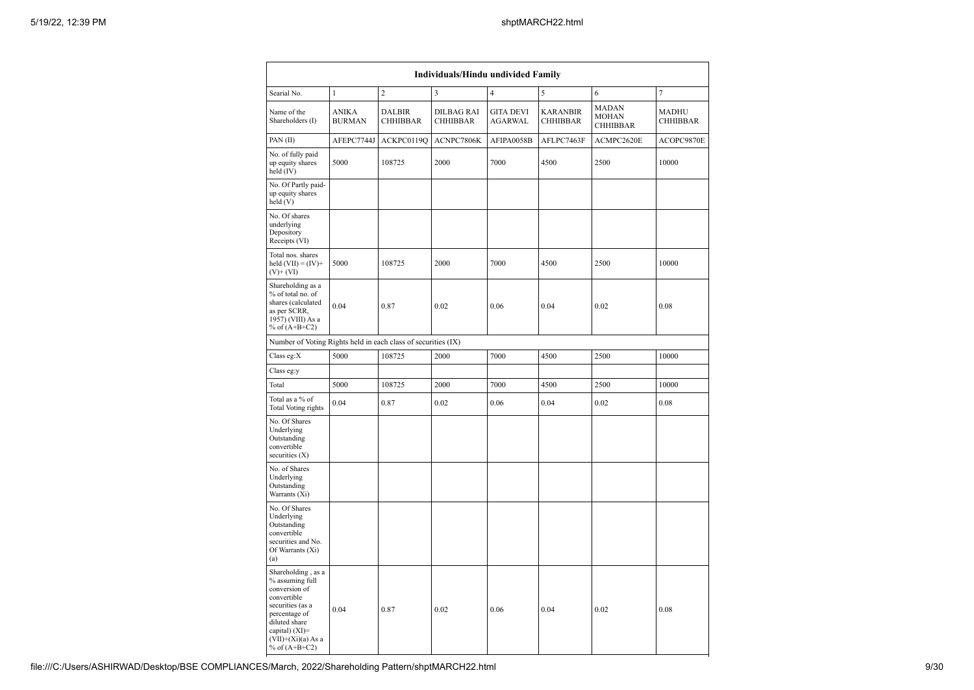| Individuals/Hindu undivided Family                                                                                                                                                       |                               |                                        |                                      |                                    |                                    |                                   |                   |  |  |  |  |  |  |
|------------------------------------------------------------------------------------------------------------------------------------------------------------------------------------------|-------------------------------|----------------------------------------|--------------------------------------|------------------------------------|------------------------------------|-----------------------------------|-------------------|--|--|--|--|--|--|
| Searial No.                                                                                                                                                                              | $\mathbf{1}$                  | $\overline{c}$                         | 3                                    | $\overline{4}$                     | 5                                  | 6                                 | $\tau$            |  |  |  |  |  |  |
| Name of the<br>Shareholders (I)                                                                                                                                                          | <b>ANIKA</b><br><b>BURMAN</b> | <b>DALBIR</b><br><b>CHHIBBAR</b>       | <b>DILBAG RAI</b><br><b>CHHIBBAR</b> | <b>GITA DEVI</b><br><b>AGARWAL</b> | <b>KARANBIR</b><br><b>CHHIBBAR</b> | <b>MADAN</b><br>MOHAN<br>CHHIBBAR | MADHU<br>CHHIBBAR |  |  |  |  |  |  |
| PAN(II)                                                                                                                                                                                  | AFEPC7744J                    | ACKPC0119Q                             | ACNPC7806K                           | AFIPA0058B                         | AFLPC7463F                         | ACMPC2620E                        | ACOPC9870E        |  |  |  |  |  |  |
| No. of fully paid<br>up equity shares<br>held (IV)                                                                                                                                       | 5000                          | 108725<br>2000<br>7000<br>4500<br>2500 |                                      |                                    | 10000                              |                                   |                   |  |  |  |  |  |  |
| No. Of Partly paid-<br>up equity shares<br>held(V)                                                                                                                                       |                               |                                        |                                      |                                    |                                    |                                   |                   |  |  |  |  |  |  |
| No. Of shares<br>underlying<br>Depository<br>Receipts (VI)                                                                                                                               |                               |                                        |                                      |                                    |                                    |                                   |                   |  |  |  |  |  |  |
| Total nos. shares<br>held $(VII) = (IV)+$<br>$(V)$ + $(VI)$                                                                                                                              | 5000                          | 108725                                 | 2000                                 | 7000                               | 4500                               | 2500                              | 10000             |  |  |  |  |  |  |
| Shareholding as a<br>% of total no. of<br>shares (calculated<br>as per SCRR,<br>1957) (VIII) As a<br>% of $(A+B+C2)$                                                                     | 0.04                          | 0.87                                   | 0.02                                 | 0.06                               | 0.04                               | 0.02                              | 0.08              |  |  |  |  |  |  |
| Number of Voting Rights held in each class of securities (IX)                                                                                                                            |                               |                                        |                                      |                                    |                                    |                                   |                   |  |  |  |  |  |  |
| Class eg:X                                                                                                                                                                               | 5000                          | 108725                                 | 2000                                 | 7000                               | 4500                               | 2500                              | 10000             |  |  |  |  |  |  |
| Class eg:y                                                                                                                                                                               |                               |                                        |                                      |                                    |                                    |                                   |                   |  |  |  |  |  |  |
| Total                                                                                                                                                                                    | 5000                          | 108725                                 | 2000                                 | 7000                               | 4500                               | 2500                              | 10000             |  |  |  |  |  |  |
| Total as a % of<br>Total Voting rights                                                                                                                                                   | 0.04                          | 0.87                                   | 0.02                                 | 0.06                               | 0.04                               | 0.02                              | 0.08              |  |  |  |  |  |  |
| No. Of Shares<br>Underlying<br>Outstanding<br>convertible<br>securities (X)                                                                                                              |                               |                                        |                                      |                                    |                                    |                                   |                   |  |  |  |  |  |  |
| No. of Shares<br>Underlying<br>Outstanding<br>Warrants (Xi)                                                                                                                              |                               |                                        |                                      |                                    |                                    |                                   |                   |  |  |  |  |  |  |
| No. Of Shares<br>Underlying<br>Outstanding<br>convertible<br>securities and No.<br>Of Warrants (Xi)<br>(a)                                                                               |                               |                                        |                                      |                                    |                                    |                                   |                   |  |  |  |  |  |  |
| Shareholding, as a<br>% assuming full<br>conversion of<br>convertible<br>securities (as a<br>percentage of<br>diluted share<br>capital) (XI)=<br>$(VII)+(Xi)(a)$ As a<br>% of $(A+B+C2)$ | 0.04                          | 0.87                                   | 0.02                                 | 0.06                               | 0.04                               | 0.02                              | 0.08              |  |  |  |  |  |  |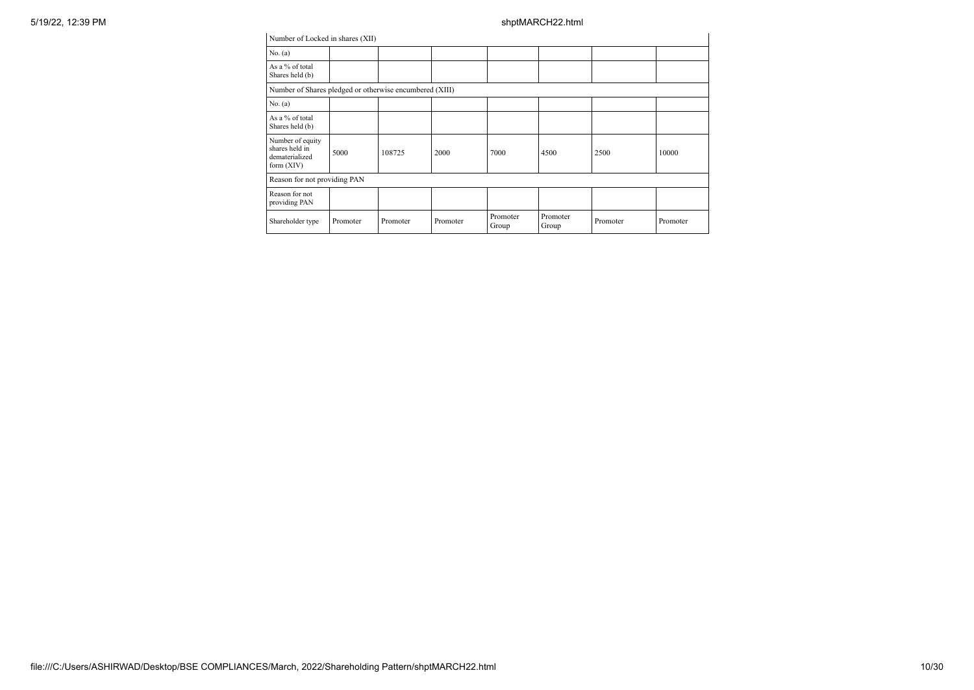| Number of Locked in shares (XII)                                     |          |          |          |                   |                   |          |          |
|----------------------------------------------------------------------|----------|----------|----------|-------------------|-------------------|----------|----------|
| No. (a)                                                              |          |          |          |                   |                   |          |          |
| As a % of total<br>Shares held (b)                                   |          |          |          |                   |                   |          |          |
| Number of Shares pledged or otherwise encumbered (XIII)              |          |          |          |                   |                   |          |          |
| No. (a)                                                              |          |          |          |                   |                   |          |          |
| As a % of total<br>Shares held (b)                                   |          |          |          |                   |                   |          |          |
| Number of equity<br>shares held in<br>dematerialized<br>form $(XIV)$ | 5000     | 108725   | 2000     | 7000              | 4500              | 2500     | 10000    |
| Reason for not providing PAN                                         |          |          |          |                   |                   |          |          |
| Reason for not<br>providing PAN                                      |          |          |          |                   |                   |          |          |
| Shareholder type                                                     | Promoter | Promoter | Promoter | Promoter<br>Group | Promoter<br>Group | Promoter | Promoter |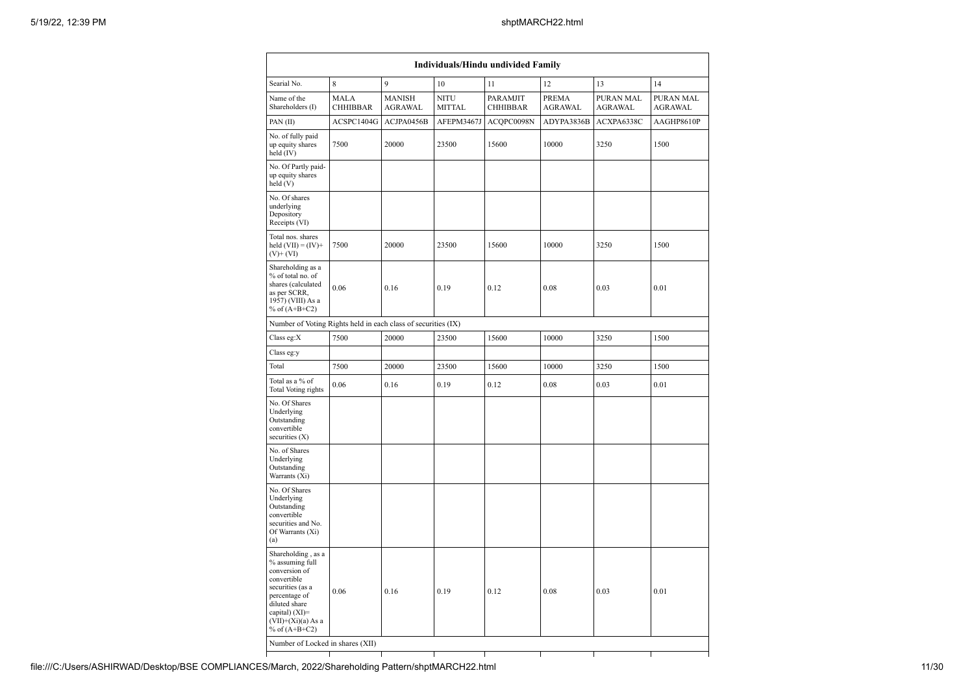| Individuals/Hindu undivided Family                                                                                                                                                       |                                |                                 |                              |                             |                         |                             |                             |  |  |  |  |  |  |
|------------------------------------------------------------------------------------------------------------------------------------------------------------------------------------------|--------------------------------|---------------------------------|------------------------------|-----------------------------|-------------------------|-----------------------------|-----------------------------|--|--|--|--|--|--|
| Searial No.                                                                                                                                                                              | 8                              | 9                               | 10                           | 11                          | 12                      | 13                          | 14                          |  |  |  |  |  |  |
| Name of the<br>Shareholders (I)                                                                                                                                                          | <b>MALA</b><br><b>CHHIBBAR</b> | <b>MANISH</b><br><b>AGRAWAL</b> | <b>NITU</b><br><b>MITTAL</b> | PARAMJIT<br><b>CHHIBBAR</b> | PREMA<br><b>AGRAWAL</b> | PURAN MAL<br><b>AGRAWAL</b> | PURAN MAL<br><b>AGRAWAL</b> |  |  |  |  |  |  |
| PAN(II)                                                                                                                                                                                  | ACSPC1404G                     | ACJPA0456B                      | AFEPM3467J                   | ACQPC0098N                  | ADYPA3836B              | ACXPA6338C                  | AAGHP8610P                  |  |  |  |  |  |  |
| No. of fully paid<br>up equity shares<br>held (IV)                                                                                                                                       | 20000<br>7500                  |                                 | 23500                        | 15600                       | 10000                   | 3250                        | 1500                        |  |  |  |  |  |  |
| No. Of Partly paid-<br>up equity shares<br>held (V)                                                                                                                                      |                                |                                 |                              |                             |                         |                             |                             |  |  |  |  |  |  |
| No. Of shares<br>underlying<br>Depository<br>Receipts (VI)                                                                                                                               |                                |                                 |                              |                             |                         |                             |                             |  |  |  |  |  |  |
| Total nos. shares<br>held $(VII) = (IV) +$<br>$(V)$ + $(VI)$                                                                                                                             | 7500                           | 20000                           | 23500                        | 15600                       | 10000                   | 3250                        | 1500                        |  |  |  |  |  |  |
| Shareholding as a<br>% of total no. of<br>shares (calculated<br>as per SCRR,<br>1957) (VIII) As a<br>% of $(A+B+C2)$                                                                     | 0.06                           | 0.16                            | 0.19                         | 0.12                        | 0.08                    | 0.03                        | 0.01                        |  |  |  |  |  |  |
| Number of Voting Rights held in each class of securities (IX)                                                                                                                            |                                |                                 |                              |                             |                         |                             |                             |  |  |  |  |  |  |
| Class eg:X                                                                                                                                                                               | 7500                           | 20000                           | 23500                        | 15600                       | 10000                   | 3250                        | 1500                        |  |  |  |  |  |  |
| Class eg:y                                                                                                                                                                               |                                |                                 |                              |                             |                         |                             |                             |  |  |  |  |  |  |
| Total                                                                                                                                                                                    | 7500                           | 20000                           | 23500                        | 15600                       | 10000                   | 3250                        | 1500                        |  |  |  |  |  |  |
| Total as a % of<br>Total Voting rights                                                                                                                                                   | 0.06                           | 0.16                            | 0.19                         | 0.12                        | 0.08                    | 0.03                        | 0.01                        |  |  |  |  |  |  |
| No. Of Shares<br>Underlying<br>Outstanding<br>convertible<br>securities (X)                                                                                                              |                                |                                 |                              |                             |                         |                             |                             |  |  |  |  |  |  |
| No. of Shares<br>Underlying<br>Outstanding<br>Warrants (Xi)                                                                                                                              |                                |                                 |                              |                             |                         |                             |                             |  |  |  |  |  |  |
| No. Of Shares<br>Underlying<br>Outstanding<br>convertible<br>securities and No.<br>Of Warrants (Xi)<br>(a)                                                                               |                                |                                 |                              |                             |                         |                             |                             |  |  |  |  |  |  |
| Shareholding, as a<br>% assuming full<br>conversion of<br>convertible<br>securities (as a<br>percentage of<br>diluted share<br>capital) (XI)=<br>$(VII)+(Xi)(a)$ As a<br>% of $(A+B+C2)$ | 0.06                           | 0.16                            | 0.19                         | 0.12                        | 0.08                    | 0.03                        | 0.01                        |  |  |  |  |  |  |
| Number of Locked in shares (XII)                                                                                                                                                         |                                |                                 |                              |                             |                         |                             |                             |  |  |  |  |  |  |
|                                                                                                                                                                                          |                                |                                 |                              |                             |                         |                             |                             |  |  |  |  |  |  |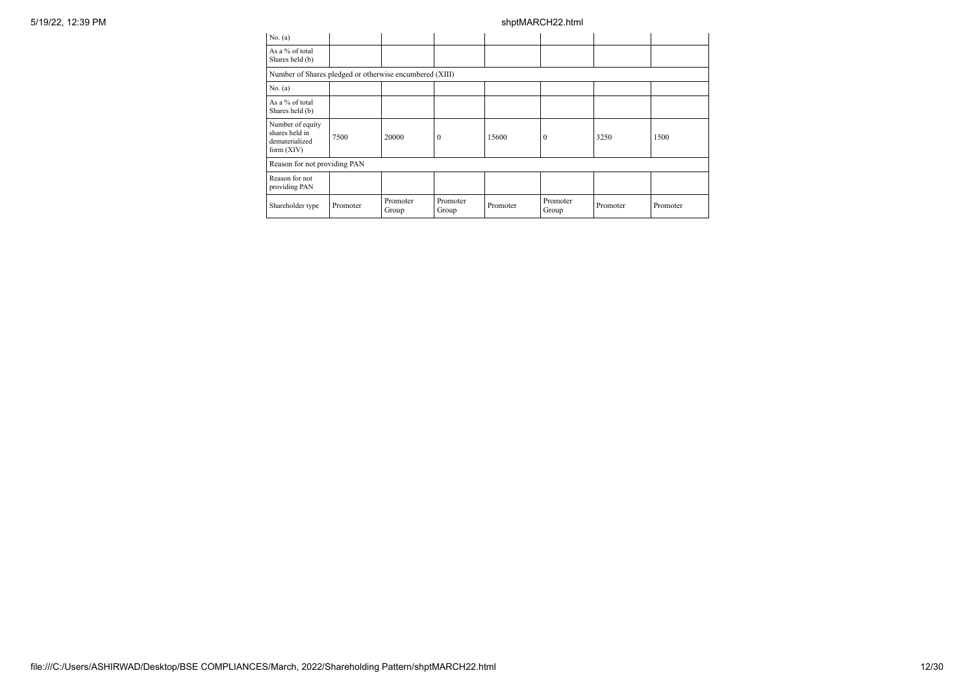| 5/19/22, 12:39 PM |                                                                      |          |                   |                   |          | shptMARCH22.html  |          |          |
|-------------------|----------------------------------------------------------------------|----------|-------------------|-------------------|----------|-------------------|----------|----------|
|                   | No. (a)                                                              |          |                   |                   |          |                   |          |          |
|                   | As a % of total<br>Shares held (b)                                   |          |                   |                   |          |                   |          |          |
|                   | Number of Shares pledged or otherwise encumbered (XIII)              |          |                   |                   |          |                   |          |          |
|                   | No. (a)                                                              |          |                   |                   |          |                   |          |          |
|                   | As a % of total<br>Shares held (b)                                   |          |                   |                   |          |                   |          |          |
|                   | Number of equity<br>shares held in<br>dematerialized<br>form $(XIV)$ | 7500     | 20000             | 10                | 15600    | $\mathbf{0}$      | 3250     | 1500     |
|                   | Reason for not providing PAN                                         |          |                   |                   |          |                   |          |          |
|                   | Reason for not<br>providing PAN                                      |          |                   |                   |          |                   |          |          |
|                   | Shareholder type                                                     | Promoter | Promoter<br>Group | Promoter<br>Group | Promoter | Promoter<br>Group | Promoter | Promoter |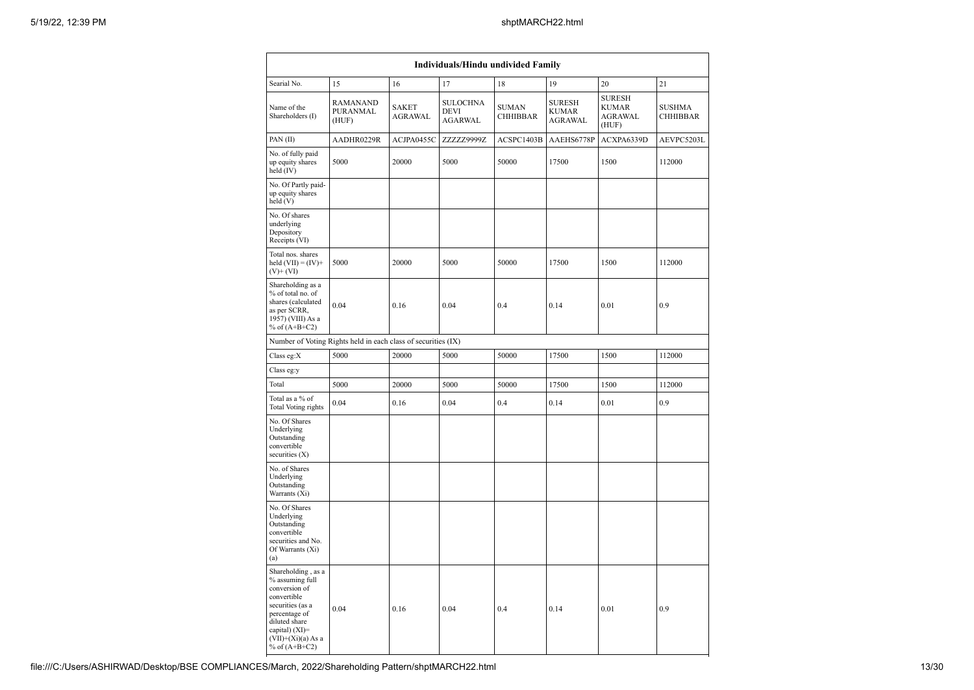|                                                                                                                                                                                          |                                      |                                | Individuals/Hindu undivided Family               |                                 |                                                 |                                                          |                                  |
|------------------------------------------------------------------------------------------------------------------------------------------------------------------------------------------|--------------------------------------|--------------------------------|--------------------------------------------------|---------------------------------|-------------------------------------------------|----------------------------------------------------------|----------------------------------|
| Searial No.                                                                                                                                                                              | 15                                   | 16                             | 17                                               | 18                              | 19                                              | 20                                                       | 21                               |
| Name of the<br>Shareholders (I)                                                                                                                                                          | <b>RAMANAND</b><br>PURANMAL<br>(HUF) | <b>SAKET</b><br><b>AGRAWAL</b> | <b>SULOCHNA</b><br><b>DEVI</b><br><b>AGARWAL</b> | <b>SUMAN</b><br><b>CHHIBBAR</b> | <b>SURESH</b><br><b>KUMAR</b><br><b>AGRAWAL</b> | <b>SURESH</b><br><b>KUMAR</b><br><b>AGRAWAL</b><br>(HUF) | <b>SUSHMA</b><br><b>CHHIBBAR</b> |
| PAN(II)                                                                                                                                                                                  | AADHR0229R                           | ACJPA0455C                     | ZZZZZ9999Z                                       | ACSPC1403B                      | AAEHS6778P                                      | ACXPA6339D                                               | AEVPC5203L                       |
| No. of fully paid<br>up equity shares<br>held (IV)                                                                                                                                       | 5000                                 | 20000                          | 5000                                             | 50000                           | 17500                                           | 1500                                                     | 112000                           |
| No. Of Partly paid-<br>up equity shares<br>held(V)                                                                                                                                       |                                      |                                |                                                  |                                 |                                                 |                                                          |                                  |
| No. Of shares<br>underlying<br>Depository<br>Receipts (VI)                                                                                                                               |                                      |                                |                                                  |                                 |                                                 |                                                          |                                  |
| Total nos. shares<br>held $(VII) = (IV) +$<br>$(V)+(VI)$                                                                                                                                 | 5000                                 | 20000                          | 5000                                             | 50000                           | 17500                                           | 1500                                                     | 112000                           |
| Shareholding as a<br>% of total no. of<br>shares (calculated<br>as per SCRR,<br>1957) (VIII) As a<br>% of $(A+B+C2)$                                                                     | 0.04                                 | 0.16                           | 0.04                                             | 0.4                             | 0.14                                            | 0.01                                                     | 0.9                              |
| Number of Voting Rights held in each class of securities (IX)                                                                                                                            |                                      |                                |                                                  |                                 |                                                 |                                                          |                                  |
| Class eg:X                                                                                                                                                                               | 5000                                 | 20000                          | 5000                                             | 50000                           | 17500                                           | 1500                                                     | 112000                           |
| Class eg:y                                                                                                                                                                               |                                      |                                |                                                  |                                 |                                                 |                                                          |                                  |
| Total                                                                                                                                                                                    | 5000                                 | 20000                          | 5000                                             | 50000                           | 17500                                           | 1500                                                     | 112000                           |
| Total as a % of<br>Total Voting rights                                                                                                                                                   | 0.04                                 | 0.16                           | 0.04                                             | 0.4                             | 0.14                                            | 0.01                                                     | 0.9                              |
| No. Of Shares<br>Underlying<br>Outstanding<br>convertible<br>securities (X)                                                                                                              |                                      |                                |                                                  |                                 |                                                 |                                                          |                                  |
| No. of Shares<br>Underlying<br>Outstanding<br>Warrants (Xi)                                                                                                                              |                                      |                                |                                                  |                                 |                                                 |                                                          |                                  |
| No. Of Shares<br>Underlying<br>Outstanding<br>convertible<br>securities and No.<br>Of Warrants (Xi)<br>(a)                                                                               |                                      |                                |                                                  |                                 |                                                 |                                                          |                                  |
| Shareholding, as a<br>% assuming full<br>conversion of<br>convertible<br>securities (as a<br>percentage of<br>diluted share<br>capital) (XI)=<br>$(VII)+(Xi)(a)$ As a<br>% of $(A+B+C2)$ | 0.04                                 | 0.16                           | 0.04                                             | 0.4                             | 0.14                                            | 0.01                                                     | 0.9                              |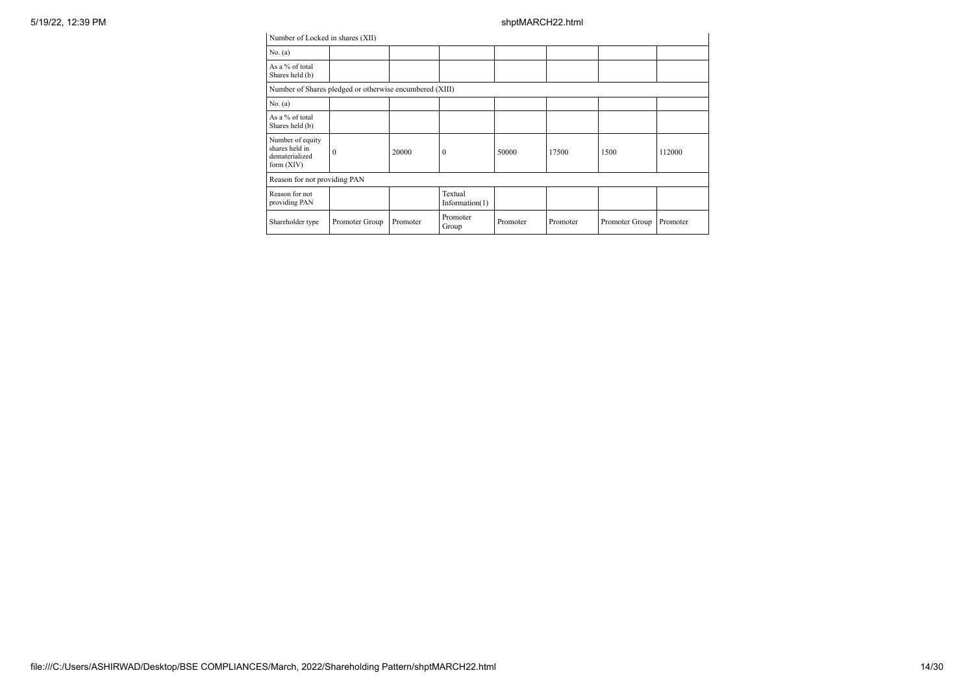| Number of Locked in shares (XII)                                     |                |          |                           |          |          |                |          |
|----------------------------------------------------------------------|----------------|----------|---------------------------|----------|----------|----------------|----------|
| No. (a)                                                              |                |          |                           |          |          |                |          |
| As a % of total<br>Shares held (b)                                   |                |          |                           |          |          |                |          |
| Number of Shares pledged or otherwise encumbered (XIII)              |                |          |                           |          |          |                |          |
| No. (a)                                                              |                |          |                           |          |          |                |          |
| As a % of total<br>Shares held (b)                                   |                |          |                           |          |          |                |          |
| Number of equity<br>shares held in<br>dematerialized<br>form $(XIV)$ | $\theta$       | 20000    | $\mathbf{0}$              | 50000    | 17500    | 1500           | 112000   |
| Reason for not providing PAN                                         |                |          |                           |          |          |                |          |
| Reason for not<br>providing PAN                                      |                |          | Textual<br>Information(1) |          |          |                |          |
| Shareholder type                                                     | Promoter Group | Promoter | Promoter<br>Group         | Promoter | Promoter | Promoter Group | Promoter |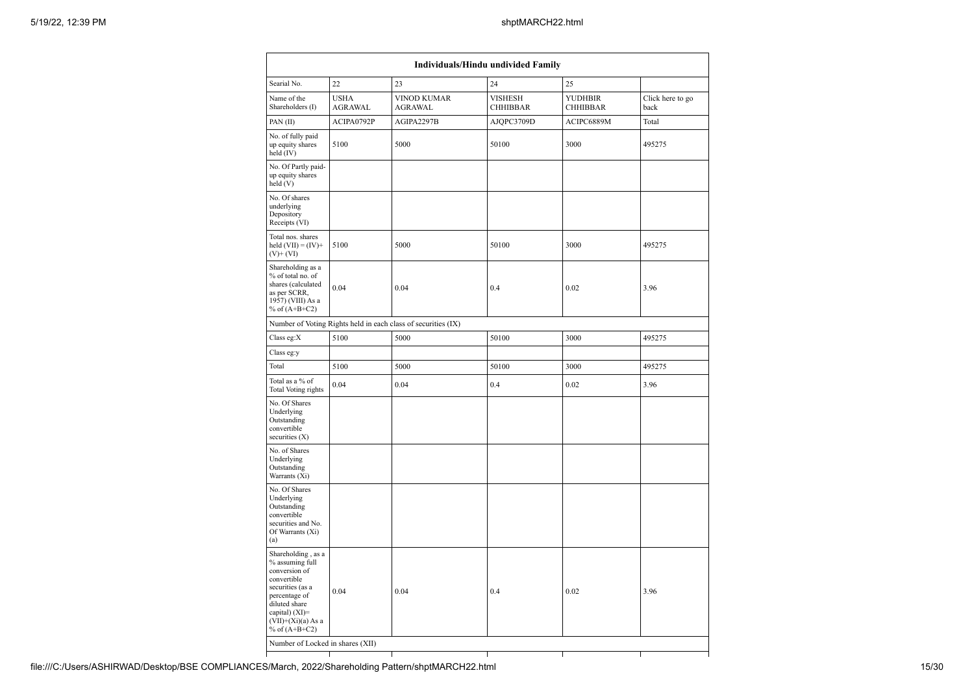|                                                                                                                                                                                          | Individuals/Hindu undivided Family |                                                               |                                   |                                   |                          |  |  |  |
|------------------------------------------------------------------------------------------------------------------------------------------------------------------------------------------|------------------------------------|---------------------------------------------------------------|-----------------------------------|-----------------------------------|--------------------------|--|--|--|
| Searial No.                                                                                                                                                                              | 22                                 | 23                                                            | 24                                | 25                                |                          |  |  |  |
| Name of the<br>Shareholders (I)                                                                                                                                                          | <b>USHA</b><br><b>AGRAWAL</b>      | <b>VINOD KUMAR</b><br><b>AGRAWAL</b>                          | <b>VISHESH</b><br><b>CHHIBBAR</b> | <b>YUDHBIR</b><br><b>CHHIBBAR</b> | Click here to go<br>back |  |  |  |
| PAN(II)                                                                                                                                                                                  | ACIPA0792P                         | AGIPA2297B                                                    | AJQPC3709D                        | ACIPC6889M                        | Total                    |  |  |  |
| No. of fully paid<br>up equity shares<br>held (IV)                                                                                                                                       | 5100                               | 5000                                                          | 50100                             | 3000                              | 495275                   |  |  |  |
| No. Of Partly paid-<br>up equity shares<br>held(V)                                                                                                                                       |                                    |                                                               |                                   |                                   |                          |  |  |  |
| No. Of shares<br>underlying<br>Depository<br>Receipts (VI)                                                                                                                               |                                    |                                                               |                                   |                                   |                          |  |  |  |
| Total nos. shares<br>held $(VII) = (IV) +$<br>$(V)$ + $(VI)$                                                                                                                             | 5100                               | 5000                                                          | 50100                             | 3000                              | 495275                   |  |  |  |
| Shareholding as a<br>% of total no. of<br>shares (calculated<br>as per SCRR,<br>1957) (VIII) As a<br>% of $(A+B+C2)$                                                                     | 0.04                               | 0.04                                                          | 0.4                               | 0.02                              | 3.96                     |  |  |  |
|                                                                                                                                                                                          |                                    | Number of Voting Rights held in each class of securities (IX) |                                   |                                   |                          |  |  |  |
| Class eg:X                                                                                                                                                                               | 5100                               | 5000                                                          | 50100                             | 3000                              | 495275                   |  |  |  |
| Class eg:y                                                                                                                                                                               |                                    |                                                               |                                   |                                   |                          |  |  |  |
| Total                                                                                                                                                                                    | 5100                               | 5000                                                          | 50100                             | 3000                              | 495275                   |  |  |  |
| Total as a % of<br>Total Voting rights                                                                                                                                                   | 0.04                               | 0.04                                                          | 0.4                               | 0.02                              | 3.96                     |  |  |  |
| No. Of Shares<br>Underlying<br>Outstanding<br>convertible<br>securities (X)                                                                                                              |                                    |                                                               |                                   |                                   |                          |  |  |  |
| No. of Shares<br>Underlying<br>Outstanding<br>Warrants (Xi)                                                                                                                              |                                    |                                                               |                                   |                                   |                          |  |  |  |
| No. Of Shares<br>Underlying<br>Outstanding<br>convertible<br>securities and No.<br>Of Warrants (Xi)<br>(a)                                                                               |                                    |                                                               |                                   |                                   |                          |  |  |  |
| Shareholding, as a<br>% assuming full<br>conversion of<br>convertible<br>securities (as a<br>percentage of<br>diluted share<br>capital) (XI)=<br>$(VII)+(Xi)(a)$ As a<br>% of $(A+B+C2)$ | 0.04                               | 0.04                                                          | 0.4                               | 0.02                              | 3.96                     |  |  |  |
| Number of Locked in shares (XII)                                                                                                                                                         |                                    |                                                               |                                   |                                   |                          |  |  |  |
|                                                                                                                                                                                          |                                    | T                                                             |                                   |                                   |                          |  |  |  |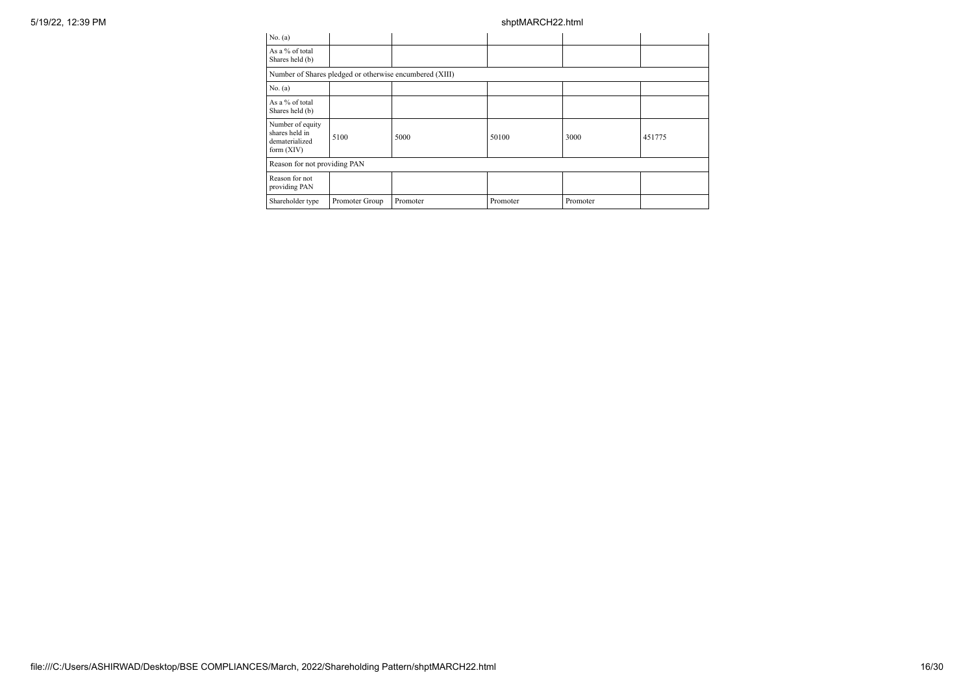| 5/19/22, 12:39 PM |                                                                    |                |                                                         | shptMARCH22.html |          |        |
|-------------------|--------------------------------------------------------------------|----------------|---------------------------------------------------------|------------------|----------|--------|
|                   | No. $(a)$                                                          |                |                                                         |                  |          |        |
|                   | As a % of total<br>Shares held (b)                                 |                |                                                         |                  |          |        |
|                   |                                                                    |                | Number of Shares pledged or otherwise encumbered (XIII) |                  |          |        |
|                   | No. (a)                                                            |                |                                                         |                  |          |        |
|                   | As a % of total<br>Shares held (b)                                 |                |                                                         |                  |          |        |
|                   | Number of equity<br>shares held in<br>dematerialized<br>form (XIV) | 5100           | 5000                                                    | 50100            | 3000     | 451775 |
|                   | Reason for not providing PAN                                       |                |                                                         |                  |          |        |
|                   | Reason for not<br>providing PAN                                    |                |                                                         |                  |          |        |
|                   | Shareholder type                                                   | Promoter Group | Promoter                                                | Promoter         | Promoter |        |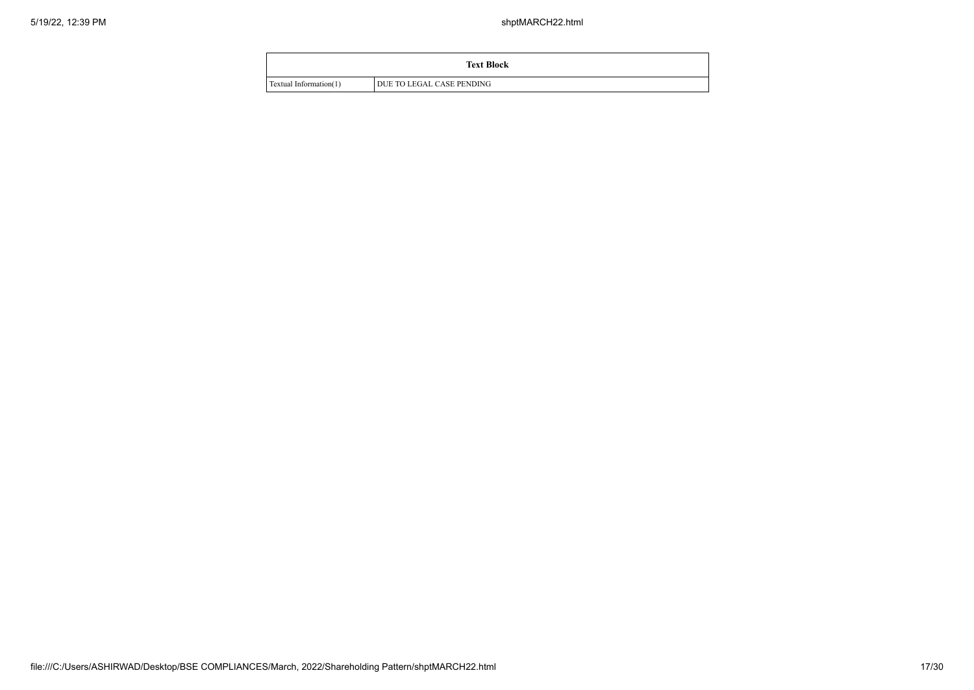|                        | <b>Text Block</b>         |
|------------------------|---------------------------|
| Textual Information(1) | DUE TO LEGAL CASE PENDING |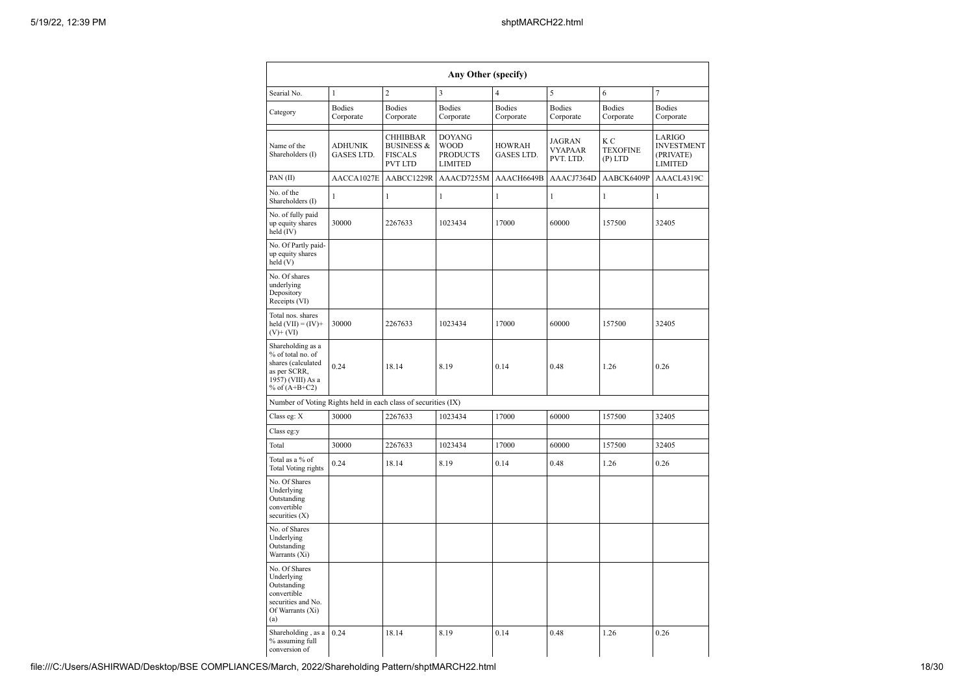|                                                                                                                      |                              |                                                                              | Any Other (specify)                                               |                             |                                       |                                     |                                                            |
|----------------------------------------------------------------------------------------------------------------------|------------------------------|------------------------------------------------------------------------------|-------------------------------------------------------------------|-----------------------------|---------------------------------------|-------------------------------------|------------------------------------------------------------|
| Searial No.                                                                                                          | $\mathbf{1}$                 | $\overline{c}$                                                               | 3                                                                 | $\overline{4}$              | 5                                     | 6                                   | 7                                                          |
| Category                                                                                                             | <b>Bodies</b><br>Corporate   | <b>Bodies</b><br>Corporate                                                   | <b>Bodies</b><br>Corporate                                        | <b>Bodies</b><br>Corporate  | <b>Bodies</b><br>Corporate            | <b>Bodies</b><br>Corporate          | <b>Bodies</b><br>Corporate                                 |
| Name of the<br>Shareholders (I)                                                                                      | <b>ADHUNIK</b><br>GASES LTD. | <b>CHHIBBAR</b><br><b>BUSINESS &amp;</b><br><b>FISCALS</b><br><b>PVT LTD</b> | <b>DOYANG</b><br><b>WOOD</b><br><b>PRODUCTS</b><br><b>LIMITED</b> | <b>HOWRAH</b><br>GASES LTD. | <b>JAGRAN</b><br>VYAPAAR<br>PVT. LTD. | K C<br><b>TEXOFINE</b><br>$(P)$ LTD | LARIGO<br><b>INVESTMENT</b><br>(PRIVATE)<br><b>LIMITED</b> |
| PAN(II)                                                                                                              | AACCA1027E                   | AABCC1229R                                                                   | AAACD7255M                                                        | AAACH6649B                  | AAACJ7364D                            | AABCK6409P                          | AAACL4319C                                                 |
| No. of the<br>Shareholders (I)                                                                                       | 1                            | 1                                                                            | $\mathbf{1}$                                                      | 1                           | 1                                     | $\mathbf{1}$                        | 1                                                          |
| No. of fully paid<br>up equity shares<br>held (IV)                                                                   | 30000                        | 2267633                                                                      | 1023434                                                           | 17000                       | 60000                                 | 157500                              | 32405                                                      |
| No. Of Partly paid-<br>up equity shares<br>held (V)                                                                  |                              |                                                                              |                                                                   |                             |                                       |                                     |                                                            |
| No. Of shares<br>underlying<br>Depository<br>Receipts (VI)                                                           |                              |                                                                              |                                                                   |                             |                                       |                                     |                                                            |
| Total nos. shares<br>held $(VII) = (IV) +$<br>$(V)$ + $(V)$                                                          | 30000                        | 2267633                                                                      | 1023434                                                           | 17000                       | 60000                                 | 157500                              | 32405                                                      |
| Shareholding as a<br>% of total no. of<br>shares (calculated<br>as per SCRR,<br>1957) (VIII) As a<br>% of $(A+B+C2)$ | 0.24                         | 18.14                                                                        | 8.19                                                              | 0.14                        | 0.48                                  | 1.26                                | 0.26                                                       |
| Number of Voting Rights held in each class of securities (IX)                                                        |                              |                                                                              |                                                                   |                             |                                       |                                     |                                                            |
| Class eg: X                                                                                                          | 30000                        | 2267633                                                                      | 1023434                                                           | 17000                       | 60000                                 | 157500                              | 32405                                                      |
| Class eg:y                                                                                                           |                              |                                                                              |                                                                   |                             |                                       |                                     |                                                            |
| Total                                                                                                                | 30000                        | 2267633                                                                      | 1023434                                                           | 17000                       | 60000                                 | 157500                              | 32405                                                      |
| Total as a % of<br>Total Voting rights                                                                               | 0.24                         | 18.14                                                                        | 8.19                                                              | 0.14                        | 0.48                                  | 1.26                                | 0.26                                                       |
| No. Of Shares<br>Underlying<br>Outstanding<br>convertible<br>securities (X)                                          |                              |                                                                              |                                                                   |                             |                                       |                                     |                                                            |
| No. of Shares<br>Underlying<br>Outstanding<br>Warrants (Xi)                                                          |                              |                                                                              |                                                                   |                             |                                       |                                     |                                                            |
| No. Of Shares<br>Underlying<br>Outstanding<br>convertible<br>securities and No.<br>Of Warrants (Xi)<br>(a)           |                              |                                                                              |                                                                   |                             |                                       |                                     |                                                            |
| Shareholding, as a<br>% assuming full<br>conversion of                                                               | 0.24                         | 18.14                                                                        | 8.19                                                              | 0.14                        | 0.48                                  | 1.26                                | 0.26                                                       |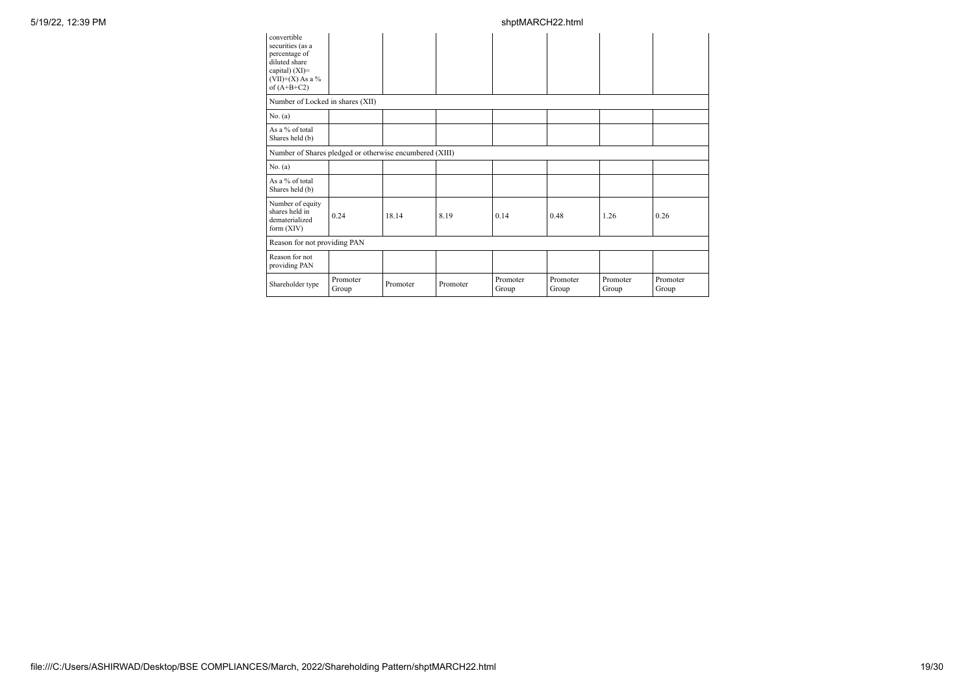| convertible<br>securities (as a<br>percentage of<br>diluted share<br>capital) $(XI)=$<br>$(VII)+(X)$ As a %<br>of $(A+B+C2)$ |                   |          |          |                   |                   |                   |                   |
|------------------------------------------------------------------------------------------------------------------------------|-------------------|----------|----------|-------------------|-------------------|-------------------|-------------------|
| Number of Locked in shares (XII)                                                                                             |                   |          |          |                   |                   |                   |                   |
| No. (a)                                                                                                                      |                   |          |          |                   |                   |                   |                   |
| As a % of total<br>Shares held (b)                                                                                           |                   |          |          |                   |                   |                   |                   |
| Number of Shares pledged or otherwise encumbered (XIII)                                                                      |                   |          |          |                   |                   |                   |                   |
| No. (a)                                                                                                                      |                   |          |          |                   |                   |                   |                   |
| As a % of total<br>Shares held (b)                                                                                           |                   |          |          |                   |                   |                   |                   |
| Number of equity<br>shares held in<br>dematerialized<br>form $(XIV)$                                                         | 0.24              | 18.14    | 8.19     | 0.14              | 0.48              | 1.26              | 0.26              |
| Reason for not providing PAN                                                                                                 |                   |          |          |                   |                   |                   |                   |
| Reason for not<br>providing PAN                                                                                              |                   |          |          |                   |                   |                   |                   |
| Shareholder type                                                                                                             | Promoter<br>Group | Promoter | Promoter | Promoter<br>Group | Promoter<br>Group | Promoter<br>Group | Promoter<br>Group |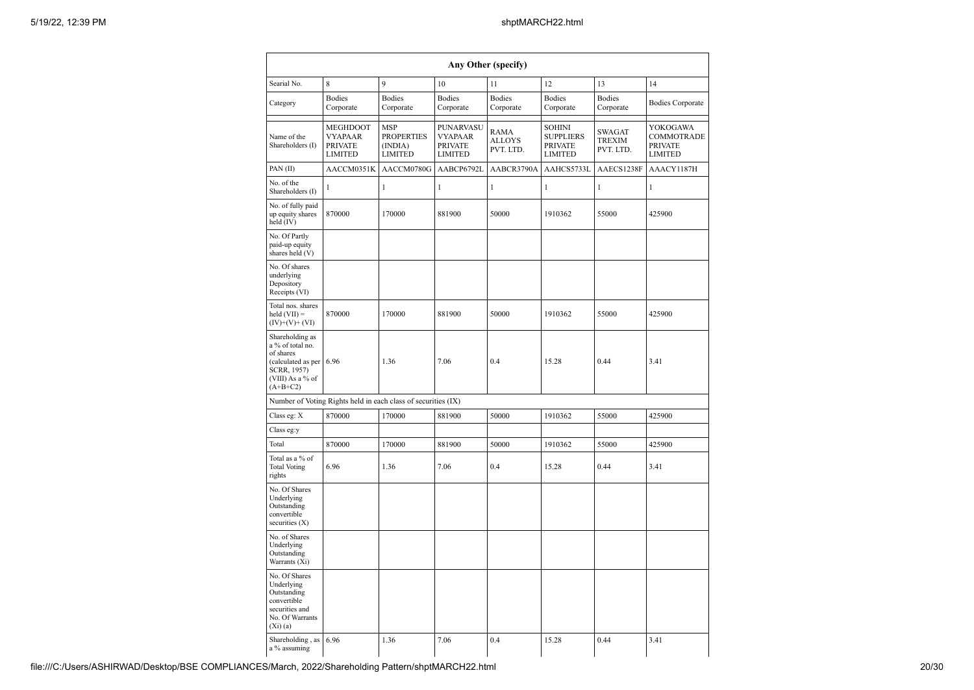|                                                                                                                         | Any Other (specify)                                            |                                                              |                                                                 |                                           |                                                                       |                               |                                                            |  |  |  |
|-------------------------------------------------------------------------------------------------------------------------|----------------------------------------------------------------|--------------------------------------------------------------|-----------------------------------------------------------------|-------------------------------------------|-----------------------------------------------------------------------|-------------------------------|------------------------------------------------------------|--|--|--|
| Searial No.                                                                                                             | 8                                                              | 9                                                            | 10                                                              | 11                                        | 12                                                                    | 13                            | 14                                                         |  |  |  |
| Category                                                                                                                | <b>Bodies</b><br>Corporate                                     | <b>Bodies</b><br>Corporate                                   | <b>Bodies</b><br>Corporate                                      | <b>Bodies</b><br>Corporate                | <b>Bodies</b><br>Corporate                                            | <b>Bodies</b><br>Corporate    | <b>Bodies Corporate</b>                                    |  |  |  |
| Name of the<br>Shareholders (I)                                                                                         | MEGHDOOT<br><b>VYAPAAR</b><br><b>PRIVATE</b><br><b>LIMITED</b> | <b>MSP</b><br><b>PROPERTIES</b><br>(INDIA)<br><b>LIMITED</b> | PUNARVASU<br><b>VYAPAAR</b><br><b>PRIVATE</b><br><b>LIMITED</b> | <b>RAMA</b><br><b>ALLOYS</b><br>PVT. LTD. | <b>SOHINI</b><br><b>SUPPLIERS</b><br><b>PRIVATE</b><br><b>LIMITED</b> | SWAGAT<br>TREXIM<br>PVT. LTD. | YOKOGAWA<br>COMMOTRADE<br><b>PRIVATE</b><br><b>LIMITED</b> |  |  |  |
| PAN(II)                                                                                                                 | AACCM0351K                                                     | AACCM0780G                                                   | AABCP6792L                                                      | AABCR3790A                                | AAHCS5733L                                                            | AAECS1238F                    | AAACY1187H                                                 |  |  |  |
| No. of the<br>Shareholders (I)                                                                                          | 1                                                              | $\mathbf{1}$                                                 | $\mathbf{1}$                                                    | $\mathbf{1}$                              | $\mathbf{1}$                                                          | $\mathbf{1}$                  | 1                                                          |  |  |  |
| No. of fully paid<br>up equity shares<br>held (IV)                                                                      | 870000                                                         | 170000                                                       | 881900                                                          | 50000                                     | 1910362                                                               | 55000                         | 425900                                                     |  |  |  |
| No. Of Partly<br>paid-up equity<br>shares held (V)                                                                      |                                                                |                                                              |                                                                 |                                           |                                                                       |                               |                                                            |  |  |  |
| No. Of shares<br>underlying<br>Depository<br>Receipts (VI)                                                              |                                                                |                                                              |                                                                 |                                           |                                                                       |                               |                                                            |  |  |  |
| Total nos. shares<br>$\text{held (VII)} =$<br>$(IV)+(V)+(VI)$                                                           | 870000                                                         | 170000                                                       | 881900                                                          | 50000                                     | 1910362                                                               | 55000                         | 425900                                                     |  |  |  |
| Shareholding as<br>a % of total no.<br>of shares<br>(calculated as per<br>SCRR, 1957)<br>(VIII) As a % of<br>$(A+B+C2)$ | 6.96                                                           | 1.36                                                         | 7.06                                                            | 0.4                                       | 15.28                                                                 | 0.44                          | 3.41                                                       |  |  |  |
|                                                                                                                         | Number of Voting Rights held in each class of securities (IX)  |                                                              |                                                                 |                                           |                                                                       |                               |                                                            |  |  |  |
| Class eg: X                                                                                                             | 870000                                                         | 170000                                                       | 881900                                                          | 50000                                     | 1910362                                                               | 55000                         | 425900                                                     |  |  |  |
| Class eg:y                                                                                                              |                                                                |                                                              |                                                                 |                                           |                                                                       |                               |                                                            |  |  |  |
| Total                                                                                                                   | 870000                                                         | 170000                                                       | 881900                                                          | 50000                                     | 1910362                                                               | 55000                         | 425900                                                     |  |  |  |
| Total as a % of<br><b>Total Voting</b><br>rights                                                                        | 6.96                                                           | 1.36                                                         | 7.06                                                            | 0.4                                       | 15.28                                                                 | 0.44                          | 3.41                                                       |  |  |  |
| No. Of Shares<br>Underlying<br>Outstanding<br>convertible<br>securities (X)                                             |                                                                |                                                              |                                                                 |                                           |                                                                       |                               |                                                            |  |  |  |
| No. of Shares<br>Underlying<br>Outstanding<br>Warrants (Xi)                                                             |                                                                |                                                              |                                                                 |                                           |                                                                       |                               |                                                            |  |  |  |
| No. Of Shares<br>Underlying<br>Outstanding<br>convertible<br>securities and<br>No. Of Warrants<br>$(X_i)$ $(a)$         |                                                                |                                                              |                                                                 |                                           |                                                                       |                               |                                                            |  |  |  |
| Shareholding, as<br>a % assuming                                                                                        | 6.96                                                           | 1.36                                                         | 7.06                                                            | 0.4                                       | 15.28                                                                 | 0.44                          | 3.41                                                       |  |  |  |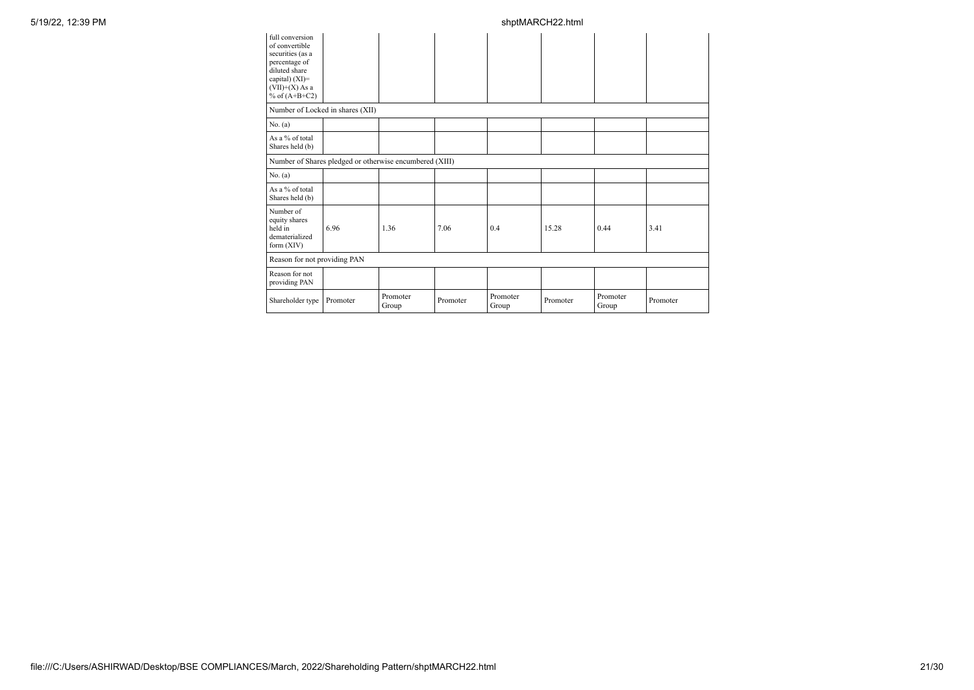| full conversion<br>of convertible<br>securities (as a<br>percentage of<br>diluted share<br>capital) (XI)=<br>$(VII)+(X)$ As a<br>% of $(A+B+C2)$ |                                                         |                   |          |                   |          |                   |          |
|--------------------------------------------------------------------------------------------------------------------------------------------------|---------------------------------------------------------|-------------------|----------|-------------------|----------|-------------------|----------|
| Number of Locked in shares (XII)                                                                                                                 |                                                         |                   |          |                   |          |                   |          |
| No. (a)                                                                                                                                          |                                                         |                   |          |                   |          |                   |          |
| As a % of total<br>Shares held (b)                                                                                                               |                                                         |                   |          |                   |          |                   |          |
|                                                                                                                                                  | Number of Shares pledged or otherwise encumbered (XIII) |                   |          |                   |          |                   |          |
| No. (a)                                                                                                                                          |                                                         |                   |          |                   |          |                   |          |
| As a % of total<br>Shares held (b)                                                                                                               |                                                         |                   |          |                   |          |                   |          |
| Number of<br>equity shares<br>held in<br>dematerialized<br>form (XIV)                                                                            | 6.96                                                    | 1.36              | 7.06     | 0.4               | 15.28    | 0.44              | 3.41     |
| Reason for not providing PAN                                                                                                                     |                                                         |                   |          |                   |          |                   |          |
| Reason for not<br>providing PAN                                                                                                                  |                                                         |                   |          |                   |          |                   |          |
| Shareholder type                                                                                                                                 | Promoter                                                | Promoter<br>Group | Promoter | Promoter<br>Group | Promoter | Promoter<br>Group | Promoter |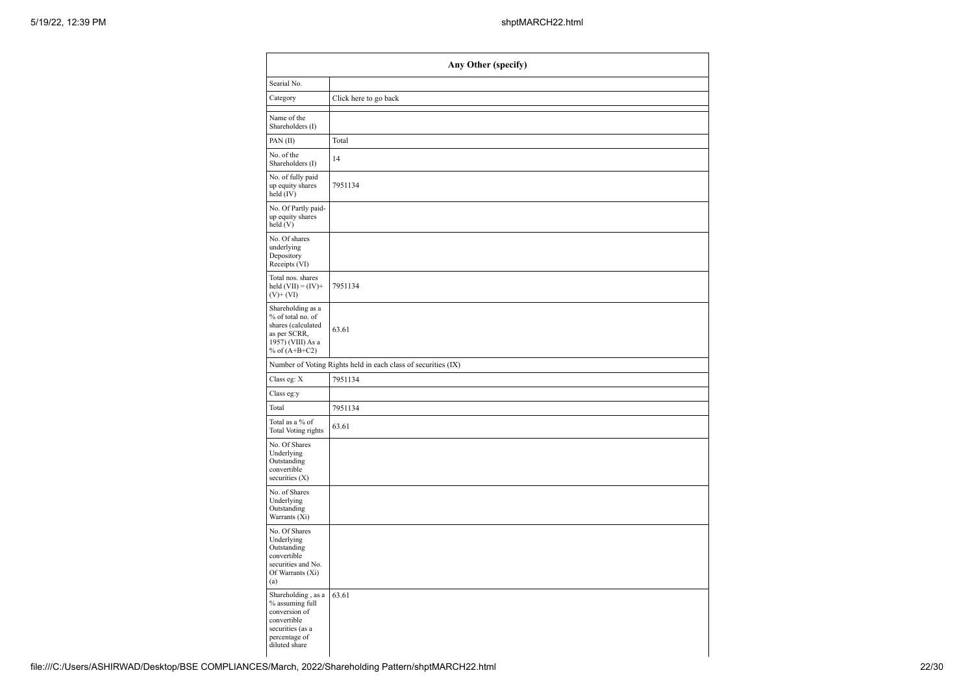| Any Other (specify)                                                                                                         |                                                               |  |  |  |  |  |  |
|-----------------------------------------------------------------------------------------------------------------------------|---------------------------------------------------------------|--|--|--|--|--|--|
| Searial No.                                                                                                                 |                                                               |  |  |  |  |  |  |
| Category                                                                                                                    | Click here to go back                                         |  |  |  |  |  |  |
| Name of the<br>Shareholders (I)                                                                                             |                                                               |  |  |  |  |  |  |
| PAN(II)                                                                                                                     | Total                                                         |  |  |  |  |  |  |
| No. of the<br>Shareholders (I)                                                                                              | 14                                                            |  |  |  |  |  |  |
| No. of fully paid<br>up equity shares<br>held (IV)                                                                          | 7951134                                                       |  |  |  |  |  |  |
| No. Of Partly paid-<br>up equity shares<br>held (V)                                                                         |                                                               |  |  |  |  |  |  |
| No. Of shares<br>underlying<br>Depository<br>Receipts (VI)                                                                  |                                                               |  |  |  |  |  |  |
| Total nos. shares<br>held $(VII) = (IV) +$<br>$(V)$ + (VI)                                                                  | 7951134                                                       |  |  |  |  |  |  |
| Shareholding as a<br>% of total no. of<br>shares (calculated<br>as per SCRR,<br>1957) (VIII) As a<br>% of $(A+B+C2)$        | 63.61                                                         |  |  |  |  |  |  |
|                                                                                                                             | Number of Voting Rights held in each class of securities (IX) |  |  |  |  |  |  |
| Class eg: X                                                                                                                 | 7951134                                                       |  |  |  |  |  |  |
| Class eg:y                                                                                                                  |                                                               |  |  |  |  |  |  |
| Total                                                                                                                       | 7951134                                                       |  |  |  |  |  |  |
| Total as a % of<br>Total Voting rights                                                                                      | 63.61                                                         |  |  |  |  |  |  |
| No. Of Shares<br>Underlying<br>Outstanding<br>convertible<br>securities $(X)$                                               |                                                               |  |  |  |  |  |  |
| No. of Shares<br>Underlying<br>Outstanding<br>Warrants (Xi)                                                                 |                                                               |  |  |  |  |  |  |
| No. Of Shares<br>Underlying<br>Outstanding<br>convertible<br>securities and No.<br>Of Warrants (Xi)<br>(a)                  |                                                               |  |  |  |  |  |  |
| Shareholding, as a<br>% assuming full<br>conversion of<br>convertible<br>securities (as a<br>percentage of<br>diluted share | 63.61                                                         |  |  |  |  |  |  |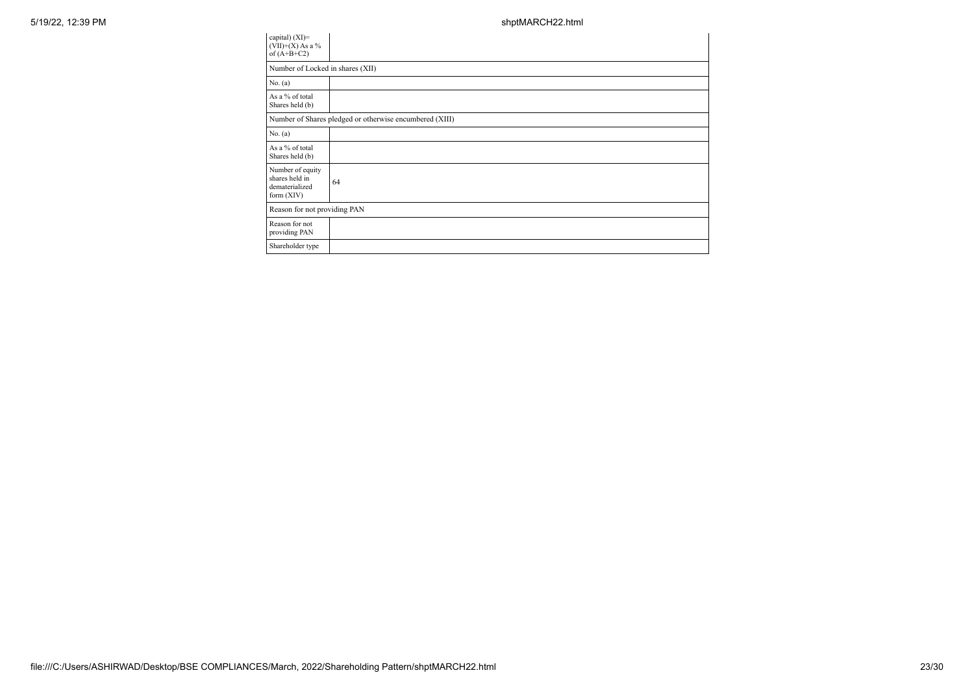| capital) $(XI)=$<br>$(VII)+(X)$ As a %<br>of $(A+B+C2)$              |                                                         |
|----------------------------------------------------------------------|---------------------------------------------------------|
| Number of Locked in shares (XII)                                     |                                                         |
| No. (a)                                                              |                                                         |
| As a % of total<br>Shares held (b)                                   |                                                         |
|                                                                      | Number of Shares pledged or otherwise encumbered (XIII) |
| No. (a)                                                              |                                                         |
| As a % of total<br>Shares held (b)                                   |                                                         |
| Number of equity<br>shares held in<br>dematerialized<br>form $(XIV)$ | 64                                                      |
| Reason for not providing PAN                                         |                                                         |
| Reason for not<br>providing PAN                                      |                                                         |
| Shareholder type                                                     |                                                         |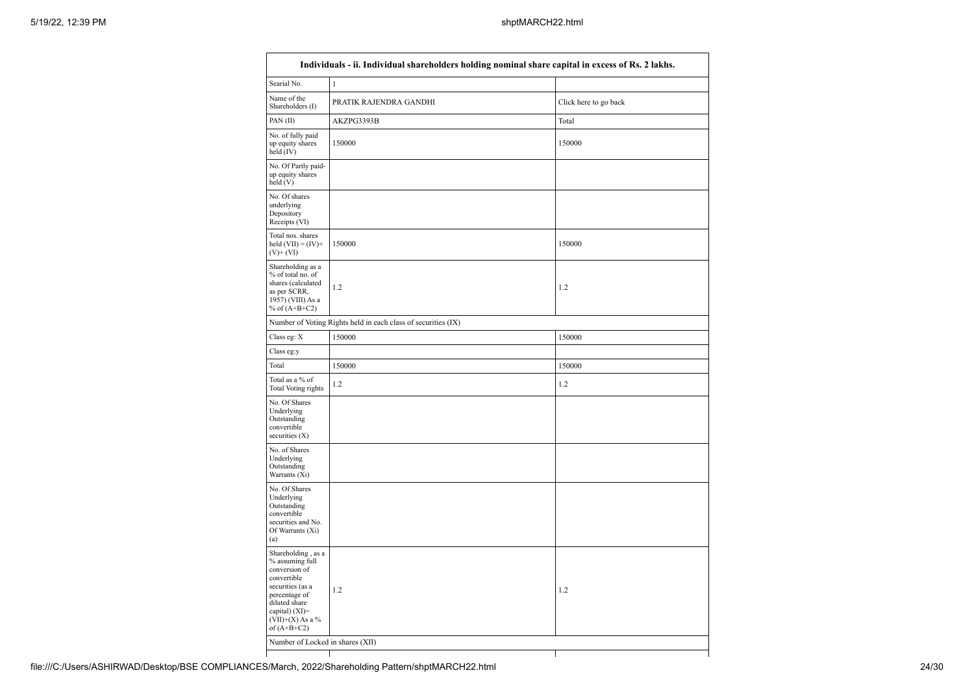| Searial No.<br>$\mathbf{1}$<br>Name of the<br>PRATIK RAJENDRA GANDHI<br>Click here to go back<br>Shareholders (I)<br>PAN(II)<br>AKZPG3393B<br>Total<br>150000<br>150000<br>150000<br>150000<br>1.2<br>1.2<br>Number of Voting Rights held in each class of securities (IX)<br>Class eg: X<br>150000<br>150000<br>Class eg:y<br>150000<br>150000<br>1.2<br>1.2<br>1.2<br>1.2<br>Number of Locked in shares (XII) | Individuals - ii. Individual shareholders holding nominal share capital in excess of Rs. 2 lakhs.                                                                                    |  |  |  |  |  |  |
|-----------------------------------------------------------------------------------------------------------------------------------------------------------------------------------------------------------------------------------------------------------------------------------------------------------------------------------------------------------------------------------------------------------------|--------------------------------------------------------------------------------------------------------------------------------------------------------------------------------------|--|--|--|--|--|--|
|                                                                                                                                                                                                                                                                                                                                                                                                                 |                                                                                                                                                                                      |  |  |  |  |  |  |
|                                                                                                                                                                                                                                                                                                                                                                                                                 |                                                                                                                                                                                      |  |  |  |  |  |  |
|                                                                                                                                                                                                                                                                                                                                                                                                                 |                                                                                                                                                                                      |  |  |  |  |  |  |
|                                                                                                                                                                                                                                                                                                                                                                                                                 | No. of fully paid<br>up equity shares<br>held (IV)                                                                                                                                   |  |  |  |  |  |  |
|                                                                                                                                                                                                                                                                                                                                                                                                                 | No. Of Partly paid-<br>up equity shares<br>held(V)                                                                                                                                   |  |  |  |  |  |  |
|                                                                                                                                                                                                                                                                                                                                                                                                                 | No. Of shares<br>underlying<br>Depository<br>Receipts (VI)                                                                                                                           |  |  |  |  |  |  |
|                                                                                                                                                                                                                                                                                                                                                                                                                 | Total nos. shares<br>held $(VII) = (IV) +$<br>$(V)$ + $(VI)$                                                                                                                         |  |  |  |  |  |  |
|                                                                                                                                                                                                                                                                                                                                                                                                                 | Shareholding as a<br>% of total no. of<br>shares (calculated<br>as per SCRR,<br>1957) (VIII) As a<br>% of $(A+B+C2)$                                                                 |  |  |  |  |  |  |
|                                                                                                                                                                                                                                                                                                                                                                                                                 |                                                                                                                                                                                      |  |  |  |  |  |  |
|                                                                                                                                                                                                                                                                                                                                                                                                                 |                                                                                                                                                                                      |  |  |  |  |  |  |
|                                                                                                                                                                                                                                                                                                                                                                                                                 |                                                                                                                                                                                      |  |  |  |  |  |  |
|                                                                                                                                                                                                                                                                                                                                                                                                                 | Total                                                                                                                                                                                |  |  |  |  |  |  |
|                                                                                                                                                                                                                                                                                                                                                                                                                 | Total as a % of<br>Total Voting rights                                                                                                                                               |  |  |  |  |  |  |
|                                                                                                                                                                                                                                                                                                                                                                                                                 | No. Of Shares<br>Underlying<br>Outstanding<br>convertible<br>securities $(X)$                                                                                                        |  |  |  |  |  |  |
|                                                                                                                                                                                                                                                                                                                                                                                                                 | No. of Shares<br>Underlying<br>Outstanding<br>Warrants (Xi)                                                                                                                          |  |  |  |  |  |  |
|                                                                                                                                                                                                                                                                                                                                                                                                                 | No. Of Shares<br>Underlying<br>Outstanding<br>convertible<br>securities and No.<br>Of Warrants (Xi)<br>(a)                                                                           |  |  |  |  |  |  |
|                                                                                                                                                                                                                                                                                                                                                                                                                 | Shareholding, as a<br>% assuming full<br>conversion of<br>convertible<br>securities (as a<br>percentage of<br>diluted share<br>capital) (XI)=<br>$(VII)+(X)$ As a %<br>of $(A+B+C2)$ |  |  |  |  |  |  |
|                                                                                                                                                                                                                                                                                                                                                                                                                 |                                                                                                                                                                                      |  |  |  |  |  |  |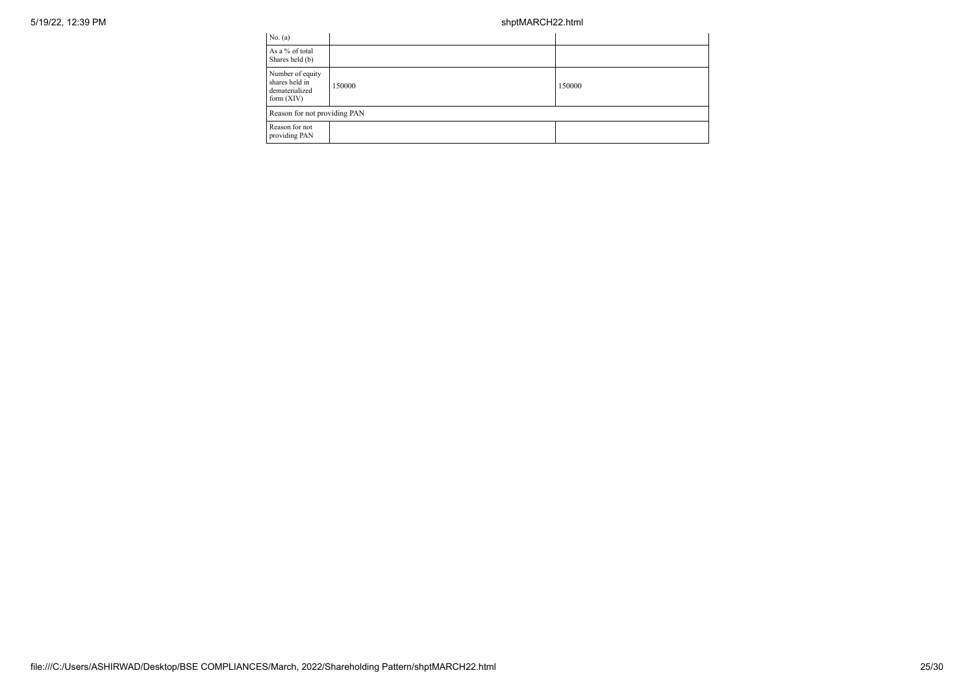| No. (a)                                                              |        |        |  |  |
|----------------------------------------------------------------------|--------|--------|--|--|
| As a % of total<br>Shares held (b)                                   |        |        |  |  |
| Number of equity<br>shares held in<br>dematerialized<br>form $(XIV)$ | 150000 | 150000 |  |  |
| Reason for not providing PAN                                         |        |        |  |  |
| Reason for not<br>providing PAN                                      |        |        |  |  |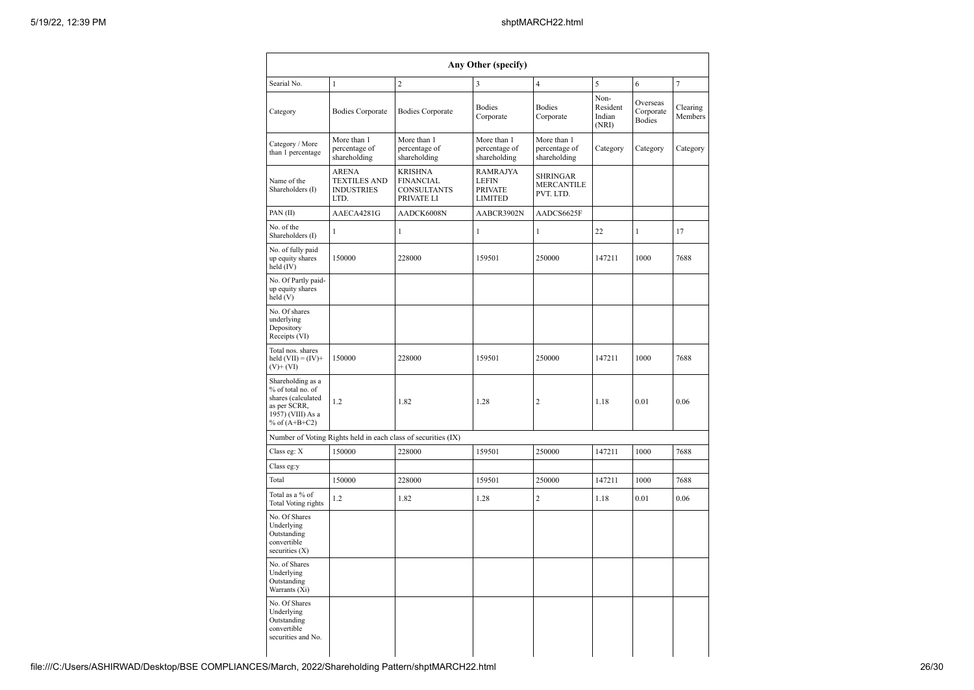|                                                                                                                      |                                                                  |                                                                        | Any Other (specify)                                          |                                              |                                     |                                        |                     |
|----------------------------------------------------------------------------------------------------------------------|------------------------------------------------------------------|------------------------------------------------------------------------|--------------------------------------------------------------|----------------------------------------------|-------------------------------------|----------------------------------------|---------------------|
| Searial No.                                                                                                          | $\mathbf{1}$                                                     | $\overline{c}$                                                         | 3                                                            | $\overline{\mathbf{4}}$                      | 5                                   | 6                                      | 7                   |
| Category                                                                                                             | <b>Bodies Corporate</b>                                          | <b>Bodies Corporate</b>                                                | <b>Bodies</b><br>Corporate                                   | Bodies<br>Corporate                          | Non-<br>Resident<br>Indian<br>(NRI) | Overseas<br>Corporate<br><b>Bodies</b> | Clearing<br>Members |
| Category / More<br>than 1 percentage                                                                                 | More than 1<br>percentage of<br>shareholding                     | More than 1<br>percentage of<br>shareholding                           | More than 1<br>percentage of<br>shareholding                 | More than 1<br>percentage of<br>shareholding | Category                            | Category                               | Category            |
| Name of the<br>Shareholders (I)                                                                                      | <b>ARENA</b><br><b>TEXTILES AND</b><br><b>INDUSTRIES</b><br>LTD. | <b>KRISHNA</b><br><b>FINANCIAL</b><br><b>CONSULTANTS</b><br>PRIVATE LI | <b>RAMRAJYA</b><br><b>LEFIN</b><br><b>PRIVATE</b><br>LIMITED | SHRINGAR<br><b>MERCANTILE</b><br>PVT. LTD.   |                                     |                                        |                     |
| PAN(II)                                                                                                              | AAECA4281G                                                       | AADCK6008N                                                             | AABCR3902N                                                   | AADCS6625F                                   |                                     |                                        |                     |
| No. of the<br>Shareholders (I)                                                                                       | $\mathbf{1}$                                                     | $\mathbf{1}$                                                           | $\mathbf{1}$                                                 | 1                                            | 22                                  | $\mathbf 1$                            | 17                  |
| No. of fully paid<br>up equity shares<br>held (IV)                                                                   | 150000                                                           | 228000                                                                 | 159501                                                       | 250000                                       | 147211                              | 1000                                   | 7688                |
| No. Of Partly paid-<br>up equity shares<br>held (V)                                                                  |                                                                  |                                                                        |                                                              |                                              |                                     |                                        |                     |
| No. Of shares<br>underlying<br>Depository<br>Receipts (VI)                                                           |                                                                  |                                                                        |                                                              |                                              |                                     |                                        |                     |
| Total nos. shares<br>held $(VII) = (IV) +$<br>$(V)+(VI)$                                                             | 150000                                                           | 228000                                                                 | 159501                                                       | 250000                                       | 147211                              | 1000                                   | 7688                |
| Shareholding as a<br>% of total no. of<br>shares (calculated<br>as per SCRR,<br>1957) (VIII) As a<br>% of $(A+B+C2)$ | 1.2                                                              | 1.82                                                                   | 1.28                                                         | 2                                            | 1.18                                | 0.01                                   | 0.06                |
|                                                                                                                      |                                                                  | Number of Voting Rights held in each class of securities (IX)          |                                                              |                                              |                                     |                                        |                     |
| Class eg: X                                                                                                          | 150000                                                           | 228000                                                                 | 159501                                                       | 250000                                       | 147211                              | 1000                                   | 7688                |
| Class eg:y                                                                                                           |                                                                  |                                                                        |                                                              |                                              |                                     |                                        |                     |
| Total                                                                                                                | 150000                                                           | 228000                                                                 | 159501                                                       | 250000                                       | 147211                              | 1000                                   | 7688                |
| Total as a % of<br><b>Total Voting rights</b>                                                                        | 1.2                                                              | 1.82                                                                   | 1.28                                                         | 2                                            | 1.18                                | 0.01                                   | 0.06                |
| No. Of Shares<br>Underlying<br>Outstanding<br>convertible<br>securities (X)                                          |                                                                  |                                                                        |                                                              |                                              |                                     |                                        |                     |
| No. of Shares<br>Underlying<br>Outstanding<br>Warrants (Xi)                                                          |                                                                  |                                                                        |                                                              |                                              |                                     |                                        |                     |
| No. Of Shares<br>Underlying<br>Outstanding<br>convertible<br>securities and No.                                      |                                                                  |                                                                        |                                                              |                                              |                                     |                                        |                     |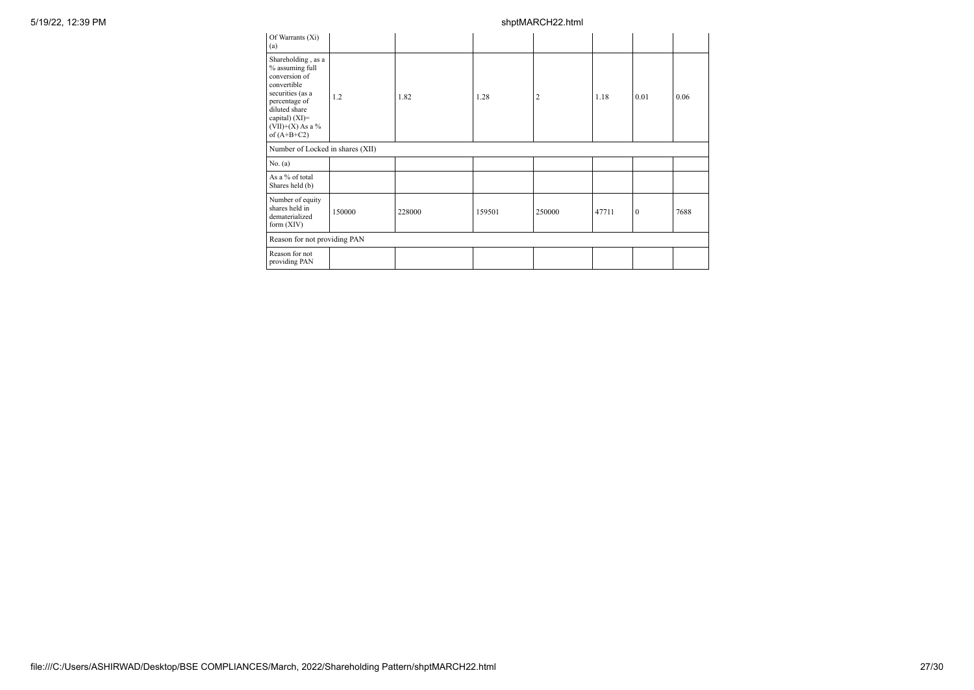| Of Warrants (Xi)<br>(a)                                                                                                                                                                 |        |        |        |                |       |              |      |
|-----------------------------------------------------------------------------------------------------------------------------------------------------------------------------------------|--------|--------|--------|----------------|-------|--------------|------|
| Shareholding, as a<br>% assuming full<br>conversion of<br>convertible<br>securities (as a<br>percentage of<br>diluted share<br>capital) $(XI)=$<br>(VII)+(X) As a $\%$<br>of $(A+B+C2)$ | 1.2    | 1.82   | 1.28   | $\overline{2}$ | 1.18  | 0.01         | 0.06 |
| Number of Locked in shares (XII)                                                                                                                                                        |        |        |        |                |       |              |      |
| No. (a)                                                                                                                                                                                 |        |        |        |                |       |              |      |
| As a % of total<br>Shares held (b)                                                                                                                                                      |        |        |        |                |       |              |      |
| Number of equity<br>shares held in<br>dematerialized<br>form $(XIV)$                                                                                                                    | 150000 | 228000 | 159501 | 250000         | 47711 | $\mathbf{0}$ | 7688 |
| Reason for not providing PAN                                                                                                                                                            |        |        |        |                |       |              |      |
| Reason for not<br>providing PAN                                                                                                                                                         |        |        |        |                |       |              |      |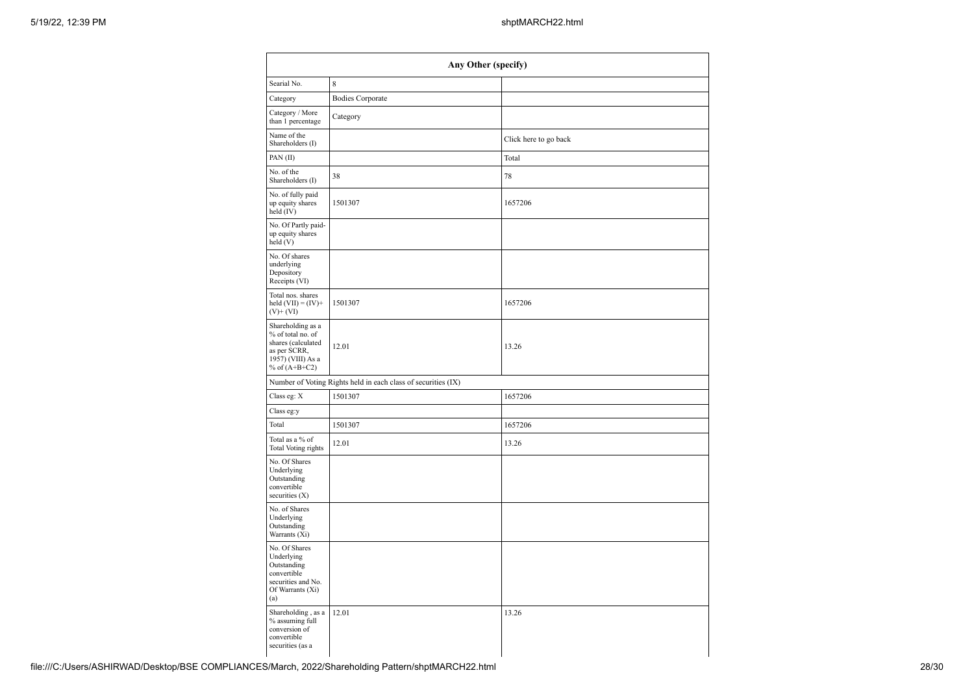| Any Other (specify)                                                                                                  |                                                               |                       |  |  |  |
|----------------------------------------------------------------------------------------------------------------------|---------------------------------------------------------------|-----------------------|--|--|--|
| Searial No.                                                                                                          | 8                                                             |                       |  |  |  |
| Category                                                                                                             | <b>Bodies Corporate</b>                                       |                       |  |  |  |
| Category / More<br>than 1 percentage                                                                                 | Category                                                      |                       |  |  |  |
| Name of the<br>Shareholders (I)                                                                                      |                                                               | Click here to go back |  |  |  |
| PAN(II)                                                                                                              |                                                               | Total                 |  |  |  |
| No. of the<br>Shareholders (I)                                                                                       | 38                                                            | 78                    |  |  |  |
| No. of fully paid<br>up equity shares<br>$held$ (IV)                                                                 | 1501307                                                       | 1657206               |  |  |  |
| No. Of Partly paid-<br>up equity shares<br>held(V)                                                                   |                                                               |                       |  |  |  |
| No. Of shares<br>underlying<br>Depository<br>Receipts (VI)                                                           |                                                               |                       |  |  |  |
| Total nos. shares<br>held $(VII) = (IV) +$<br>$(V)$ + $(VI)$                                                         | 1501307                                                       | 1657206               |  |  |  |
| Shareholding as a<br>% of total no. of<br>shares (calculated<br>as per SCRR,<br>1957) (VIII) As a<br>% of $(A+B+C2)$ | 12.01                                                         | 13.26                 |  |  |  |
|                                                                                                                      | Number of Voting Rights held in each class of securities (IX) |                       |  |  |  |
| Class eg: X                                                                                                          | 1501307                                                       | 1657206               |  |  |  |
| Class eg:y                                                                                                           |                                                               |                       |  |  |  |
| Total                                                                                                                | 1501307                                                       | 1657206               |  |  |  |
| Total as a % of<br>Total Voting rights                                                                               | 12.01                                                         | 13.26                 |  |  |  |
| No. Of Shares<br>Underlying<br>Outstanding<br>convertible<br>securities (X)                                          |                                                               |                       |  |  |  |
| No. of Shares<br>Underlying<br>Outstanding<br>Warrants (Xi)                                                          |                                                               |                       |  |  |  |
| No. Of Shares<br>Underlying<br>Outstanding<br>convertible<br>securities and No.<br>Of Warrants (Xi)<br>(a)           |                                                               |                       |  |  |  |
| Shareholding, as a<br>% assuming full<br>conversion of<br>convertible<br>securities (as a                            | 12.01                                                         | 13.26                 |  |  |  |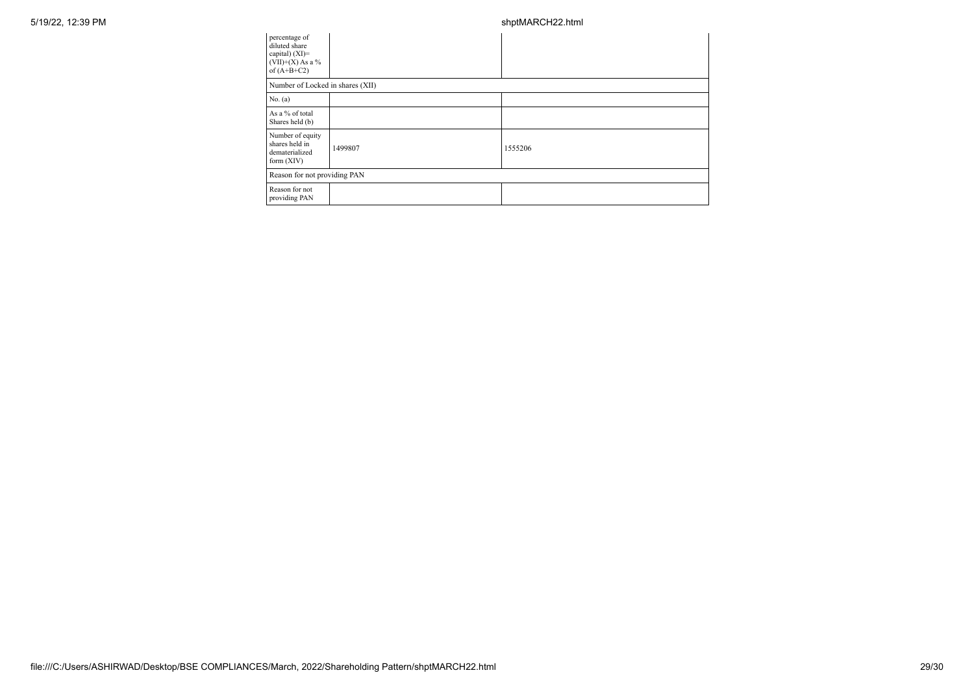| percentage of<br>diluted share<br>capital) (XI)=<br>(VII)+(X) As a $%$<br>of $(A+B+C2)$ |         |         |  |  |
|-----------------------------------------------------------------------------------------|---------|---------|--|--|
| Number of Locked in shares (XII)                                                        |         |         |  |  |
| No. (a)                                                                                 |         |         |  |  |
| As a % of total<br>Shares held (b)                                                      |         |         |  |  |
| Number of equity<br>shares held in<br>dematerialized<br>form (XIV)                      | 1499807 | 1555206 |  |  |
| Reason for not providing PAN                                                            |         |         |  |  |
| Reason for not<br>providing PAN                                                         |         |         |  |  |